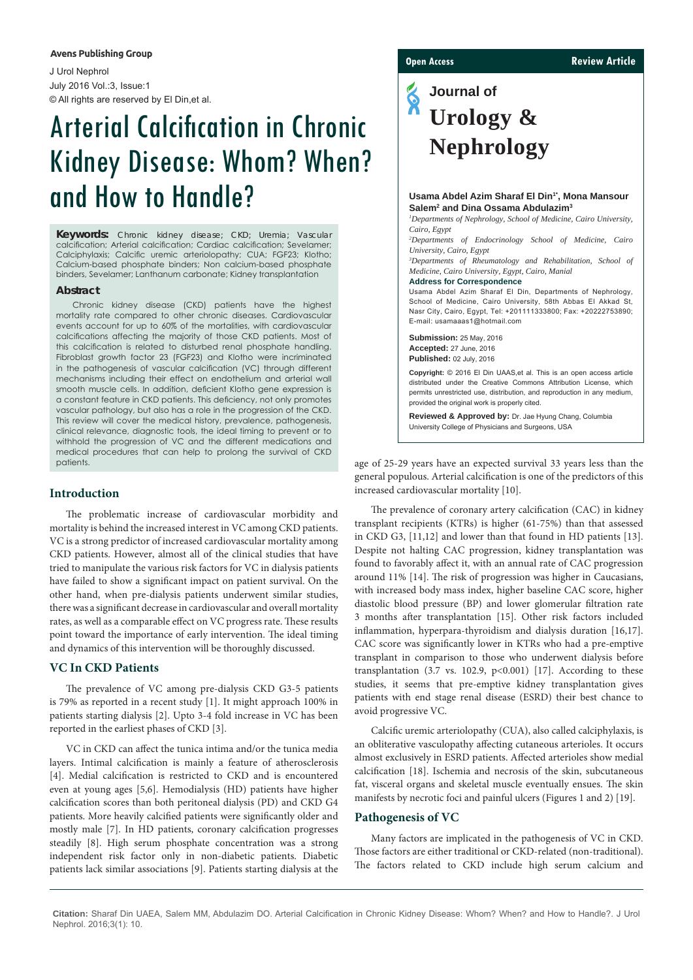#### **Avens Publishing Group**

J Urol Nephrol July 2016 Vol.:3, Issue:1 © All rights are reserved by El Din,et al.

# Arterial Calcification in Chronic Kidney Disease: Whom? When? and How to Handle?

**Keywords:** Chronic kidney disease; CKD; Uremia; Vascular calcification; Arterial calcification; Cardiac calcification; Sevelamer; Calciphylaxis; Calcific uremic arteriolopathy; CUA; FGF23; Klotho; Calcium-based phosphate binders; Non calcium-based phosphate binders, Sevelamer; Lanthanum carbonate; Kidney transplantation

#### **Abstract**

Chronic kidney disease (CKD) patients have the highest mortality rate compared to other chronic diseases. Cardiovascular events account for up to 60% of the mortalities, with cardiovascular calcifications affecting the majority of those CKD patients. Most of this calcification is related to disturbed renal phosphate handling. Fibroblast growth factor 23 (FGF23) and Klotho were incriminated in the pathogenesis of vascular calcification (VC) through different mechanisms including their effect on endothelium and arterial wall smooth muscle cells. In addition, deficient Klotho gene expression is a constant feature in CKD patients. This deficiency, not only promotes vascular pathology, but also has a role in the progression of the CKD. This review will cover the medical history, prevalence, pathogenesis, clinical relevance, diagnostic tools, the ideal timing to prevent or to withhold the progression of VC and the different medications and medical procedures that can help to prolong the survival of CKD patients.

# **Introduction**

The problematic increase of cardiovascular morbidity and mortality is behind the increased interest in VC among CKD patients. VC is a strong predictor of increased cardiovascular mortality among CKD patients. However, almost all of the clinical studies that have tried to manipulate the various risk factors for VC in dialysis patients have failed to show a significant impact on patient survival. On the other hand, when pre-dialysis patients underwent similar studies, there was a significant decrease in cardiovascular and overall mortality rates, as well as a comparable effect on VC progress rate. These results point toward the importance of early intervention. The ideal timing and dynamics of this intervention will be thoroughly discussed.

# **VC In CKD Patients**

The prevalence of VC among pre-dialysis CKD G3-5 patients is 79% as reported in a recent study [1]. It might approach 100% in patients starting dialysis [2]. Upto 3-4 fold increase in VC has been reported in the earliest phases of CKD [3].

VC in CKD can affect the tunica intima and/or the tunica media layers. Intimal calcification is mainly a feature of atherosclerosis [4]. Medial calcification is restricted to CKD and is encountered even at young ages [5,6]. Hemodialysis (HD) patients have higher calcification scores than both peritoneal dialysis (PD) and CKD G4 patients. More heavily calcified patients were significantly older and mostly male [7]. In HD patients, coronary calcification progresses steadily [8]. High serum phosphate concentration was a strong independent risk factor only in non-diabetic patients. Diabetic patients lack similar associations [9]. Patients starting dialysis at the

#### **Open Access Review Article**

**Journal of Urology & Nephrology**

#### Usama Abdel Azim Sharaf El Din<sup>1\*</sup>, Mona Mansour **Salem2 and Dina Ossama Abdulazim3**

*1 Departments of Nephrology, School of Medicine, Cairo University, Cairo, Egypt*

*2 Departments of Endocrinology School of Medicine, Cairo University, Cairo, Egypt*

*3 Departments of Rheumatology and Rehabilitation, School of Medicine, Cairo University, Egypt, Cairo, Manial*

#### **Address for Correspondence**

Usama Abdel Azim Sharaf El Din, Departments of Nephrology, School of Medicine, Cairo University, 58th Abbas El Akkad St, Nasr City, Cairo, Egypt, Tel: +201111333800; Fax: +20222753890; E-mail: [usamaaas1@hotmail.com](mailto:usamaaas1@hotmail.com) 

**Submission:** 25 May, 2016 **Accepted:** 27 June, 2016 **Published:** 02 July, 2016

**Copyright:** © 2016 El Din UAAS,et al. This is an open access article distributed under the Creative Commons Attribution License, which permits unrestricted use, distribution, and reproduction in any medium, provided the original work is properly cited.

**Reviewed & Approved by:** Dr. Jae Hyung Chang, Columbia University College of Physicians and Surgeons, USA

age of 25-29 years have an expected survival 33 years less than the general populous. Arterial calcification is one of the predictors of this increased cardiovascular mortality [10].

The prevalence of coronary artery calcification (CAC) in kidney transplant recipients (KTRs) is higher (61-75%) than that assessed in CKD G3, [11,12] and lower than that found in HD patients [13]. Despite not halting CAC progression, kidney transplantation was found to favorably affect it, with an annual rate of CAC progression around 11% [14]. The risk of progression was higher in Caucasians, with increased body mass index, higher baseline CAC score, higher diastolic blood pressure (BP) and lower glomerular filtration rate 3 months after transplantation [15]. Other risk factors included inflammation, hyperpara-thyroidism and dialysis duration [16,17]. CAC score was significantly lower in KTRs who had a pre-emptive transplant in comparison to those who underwent dialysis before transplantation  $(3.7 \text{ vs. } 102.9, \text{ p} < 0.001)$  [17]. According to these studies, it seems that pre-emptive kidney transplantation gives patients with end stage renal disease (ESRD) their best chance to avoid progressive VC.

Calcific uremic arteriolopathy (CUA), also called calciphylaxis, is an obliterative vasculopathy affecting cutaneous arterioles. It occurs almost exclusively in ESRD patients. Affected arterioles show medial calcification [18]. Ischemia and necrosis of the skin, subcutaneous fat, visceral organs and skeletal muscle eventually ensues. The skin manifests by necrotic foci and painful ulcers (Figures 1 and 2) [19].

# **Pathogenesis of VC**

Many factors are implicated in the pathogenesis of VC in CKD. Those factors are either traditional or CKD-related (non-traditional). The factors related to CKD include high serum calcium and

**Citation:** Sharaf Din UAEA, Salem MM, Abdulazim DO. Arterial Calcification in Chronic Kidney Disease: Whom? When? and How to Handle?. J Urol Nephrol. 2016;3(1): 10.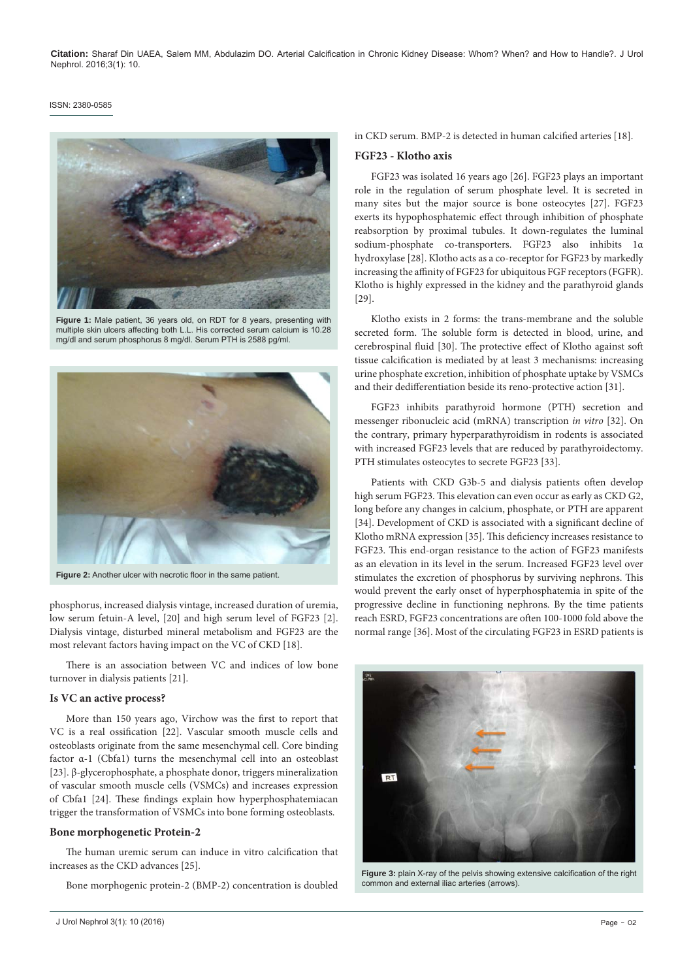#### ISSN: 2380-0585



**Figure 1:** Male patient, 36 years old, on RDT for 8 years, presenting with multiple skin ulcers affecting both L.L. His corrected serum calcium is 10.28 mg/dl and serum phosphorus 8 mg/dl. Serum PTH is 2588 pg/ml.



**Figure 2:** Another ulcer with necrotic floor in the same patient.

phosphorus, increased dialysis vintage, increased duration of uremia, low serum fetuin-A level, [20] and high serum level of FGF23 [2]. Dialysis vintage, disturbed mineral metabolism and FGF23 are the most relevant factors having impact on the VC of CKD [18].

There is an association between VC and indices of low bone turnover in dialysis patients [21].

### **Is VC an active process?**

More than 150 years ago, Virchow was the first to report that VC is a real ossification [22]. Vascular smooth muscle cells and osteoblasts originate from the same mesenchymal cell. Core binding factor α-1 (Cbfa1) turns the mesenchymal cell into an osteoblast [23]. β-glycerophosphate, a phosphate donor, triggers mineralization of vascular smooth muscle cells (VSMCs) and increases expression of Cbfa1 [24]. These findings explain how hyperphosphatemiacan trigger the transformation of VSMCs into bone forming osteoblasts.

#### **Bone morphogenetic Protein-2**

The human uremic serum can induce in vitro calcification that increases as the CKD advances [25].

Bone morphogenic protein-2 (BMP-2) concentration is doubled

#### **FGF23 - Klotho axis**

FGF23 was isolated 16 years ago [26]. FGF23 plays an important role in the regulation of serum phosphate level. It is secreted in many sites but the major source is bone osteocytes [27]. FGF23 exerts its hypophosphatemic effect through inhibition of phosphate reabsorption by proximal tubules. It down-regulates the luminal sodium-phosphate co-transporters. FGF23 also inhibits 1α hydroxylase [28]. Klotho acts as a co-receptor for FGF23 by markedly increasing the affinity of FGF23 for ubiquitous FGF receptors (FGFR). Klotho is highly expressed in the kidney and the parathyroid glands [29].

Klotho exists in 2 forms: the trans-membrane and the soluble secreted form. The soluble form is detected in blood, urine, and cerebrospinal fluid [30]. The protective effect of Klotho against soft tissue calcification is mediated by at least 3 mechanisms: increasing urine phosphate excretion, inhibition of phosphate uptake by VSMCs and their dedifferentiation beside its reno-protective action [31].

FGF23 inhibits parathyroid hormone (PTH) secretion and messenger ribonucleic acid (mRNA) transcription *in vitro* [32]. On the contrary, primary hyperparathyroidism in rodents is associated with increased FGF23 levels that are reduced by parathyroidectomy. PTH stimulates osteocytes to secrete FGF23 [33].

Patients with CKD G3b-5 and dialysis patients often develop high serum FGF23. This elevation can even occur as early as CKD G2, long before any changes in calcium, phosphate, or PTH are apparent [34]. Development of CKD is associated with a significant decline of Klotho mRNA expression [35]. This deficiency increases resistance to FGF23. This end-organ resistance to the action of FGF23 manifests as an elevation in its level in the serum. Increased FGF23 level over stimulates the excretion of phosphorus by surviving nephrons. This would prevent the early onset of hyperphosphatemia in spite of the progressive decline in functioning nephrons. By the time patients reach ESRD, FGF23 concentrations are often 100-1000 fold above the normal range [36]. Most of the circulating FGF23 in ESRD patients is



**Figure 3:** plain X-ray of the pelvis showing extensive calcification of the right common and external iliac arteries (arrows).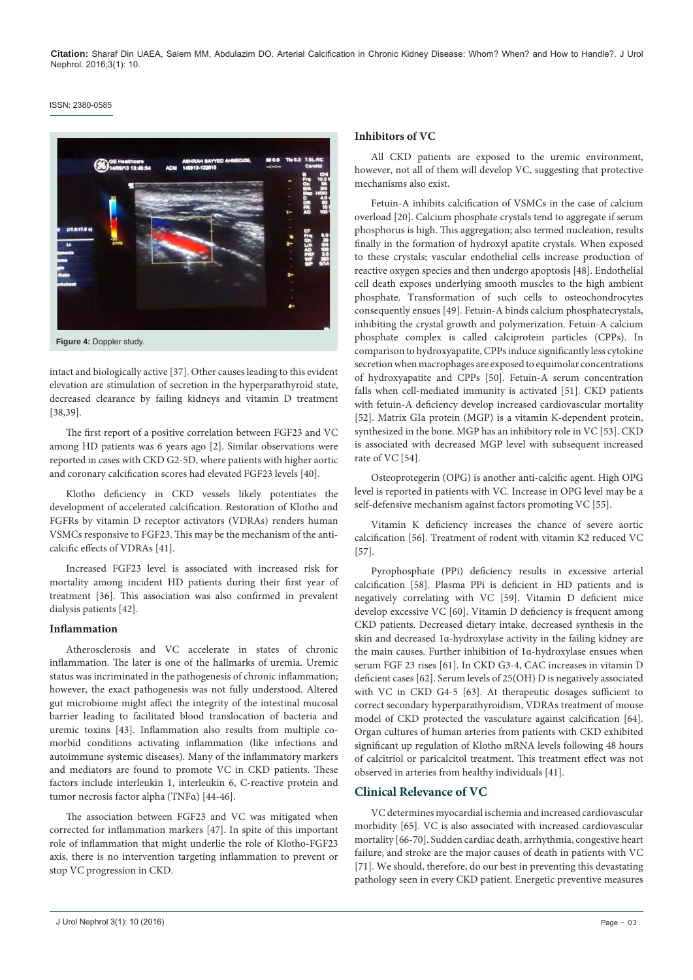#### ISSN: 2380-0585



intact and biologically active [37]. Other causes leading to this evident elevation are stimulation of secretion in the hyperparathyroid state, decreased clearance by failing kidneys and vitamin D treatment [38,39].

The first report of a positive correlation between FGF23 and VC among HD patients was 6 years ago [2]. Similar observations were reported in cases with CKD G2-5D, where patients with higher aortic and coronary calcification scores had elevated FGF23 levels [40].

Klotho deficiency in CKD vessels likely potentiates the development of accelerated calcification. Restoration of Klotho and FGFRs by vitamin D receptor activators (VDRAs) renders human VSMCs responsive to FGF23. This may be the mechanism of the anticalcific effects of VDRAs [41].

Increased FGF23 level is associated with increased risk for mortality among incident HD patients during their first year of treatment [36]. This association was also confirmed in prevalent dialysis patients [42].

# **Inflammation**

Atherosclerosis and VC accelerate in states of chronic inflammation. The later is one of the hallmarks of uremia. Uremic status was incriminated in the pathogenesis of chronic inflammation; however, the exact pathogenesis was not fully understood. Altered gut microbiome might affect the integrity of the intestinal mucosal barrier leading to facilitated blood translocation of bacteria and uremic toxins [43]. Inflammation also results from multiple comorbid conditions activating inflammation (like infections and autoimmune systemic diseases). Many of the inflammatory markers and mediators are found to promote VC in CKD patients. These factors include interleukin 1, interleukin 6, C-reactive protein and tumor necrosis factor alpha (TNFα) [44-46].

The association between FGF23 and VC was mitigated when corrected for inflammation markers [47]. In spite of this important role of inflammation that might underlie the role of Klotho-FGF23 axis, there is no intervention targeting inflammation to prevent or stop VC progression in CKD.

#### **Inhibitors of VC**

All CKD patients are exposed to the uremic environment, however, not all of them will develop VC, suggesting that protective mechanisms also exist.

Fetuin-A inhibits calcification of VSMCs in the case of calcium overload [20]. Calcium phosphate crystals tend to aggregate if serum phosphorus is high. This aggregation; also termed nucleation, results finally in the formation of hydroxyl apatite crystals. When exposed to these crystals; vascular endothelial cells increase production of reactive oxygen species and then undergo apoptosis [48]. Endothelial cell death exposes underlying smooth muscles to the high ambient phosphate. Transformation of such cells to osteochondrocytes consequently ensues [49]. Fetuin-A binds calcium phosphatecrystals, inhibiting the crystal growth and polymerization. Fetuin-A calcium phosphate complex is called calciprotein particles (CPPs). In comparison to hydroxyapatite, CPPs induce significantly less cytokine secretion when macrophages are exposed to equimolar concentrations of hydroxyapatite and CPPs [50]. Fetuin-A serum concentration falls when cell-mediated immunity is activated [51]. CKD patients with fetuin-A deficiency develop increased cardiovascular mortality [52]. Matrix GIa protein (MGP) is a vitamin K-dependent protein, synthesized in the bone. MGP has an inhibitory role in VC [53]. CKD is associated with decreased MGP level with subsequent increased rate of VC [54].

Osteoprotegerin (OPG) is another anti-calcific agent. High OPG level is reported in patients with VC. Increase in OPG level may be a self-defensive mechanism against factors promoting VC [55].

Vitamin K deficiency increases the chance of severe aortic calcification [56]. Treatment of rodent with vitamin K2 reduced VC [57].

Pyrophosphate (PPi) deficiency results in excessive arterial calcification [58]. Plasma PPi is deficient in HD patients and is negatively correlating with VC [59]. Vitamin D deficient mice develop excessive VC [60]. Vitamin D deficiency is frequent among CKD patients. Decreased dietary intake, decreased synthesis in the skin and decreased 1α-hydroxylase activity in the failing kidney are the main causes. Further inhibition of 1α-hydroxylase ensues when serum FGF 23 rises [61]. In CKD G3-4, CAC increases in vitamin D deficient cases [62]. Serum levels of 25(OH) D is negatively associated with VC in CKD G4-5 [63]. At therapeutic dosages sufficient to correct secondary hyperparathyroidism, VDRAs treatment of mouse model of CKD protected the vasculature against calcification [64]. Organ cultures of human arteries from patients with CKD exhibited significant up regulation of Klotho mRNA levels following 48 hours of calcitriol or paricalcitol treatment. This treatment effect was not observed in arteries from healthy individuals [41].

# **Clinical Relevance of VC**

VC determines myocardial ischemia and increased cardiovascular morbidity [65]. VC is also associated with increased cardiovascular mortality [66-70]. Sudden cardiac death, arrhythmia, congestive heart failure, and stroke are the major causes of death in patients with VC [71]. We should, therefore, do our best in preventing this devastating pathology seen in every CKD patient. Energetic preventive measures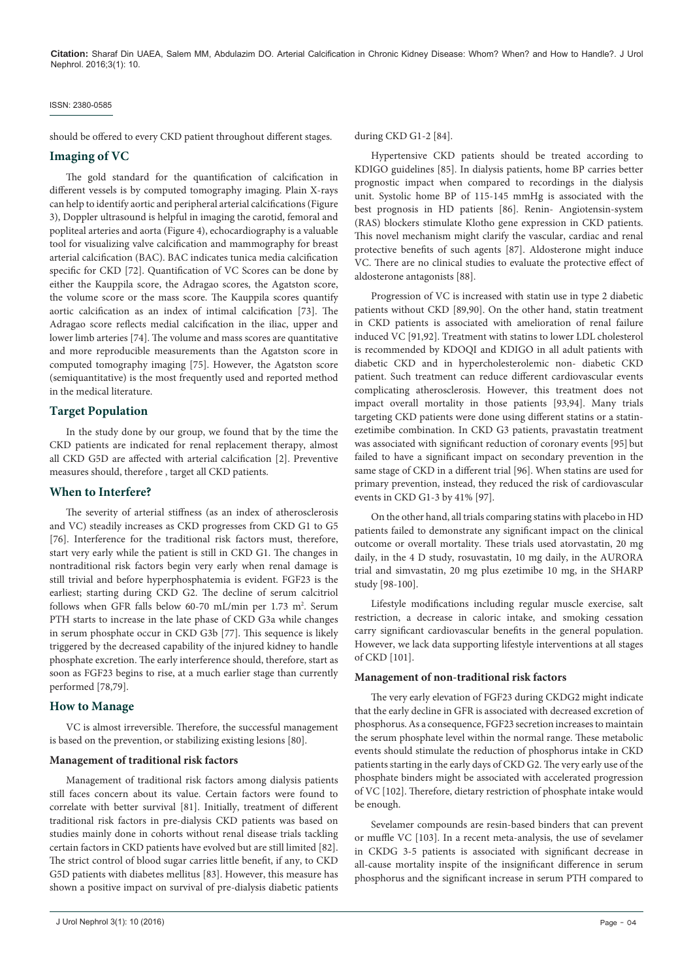#### ISSN: 2380-0585

should be offered to every CKD patient throughout different stages.

# **Imaging of VC**

The gold standard for the quantification of calcification in different vessels is by computed tomography imaging. Plain X-rays can help to identify aortic and peripheral arterial calcifications (Figure 3), Doppler ultrasound is helpful in imaging the carotid, femoral and popliteal arteries and aorta (Figure 4), echocardiography is a valuable tool for visualizing valve calcification and mammography for breast arterial calcification (BAC). BAC indicates tunica media calcification specific for CKD [72]. Quantification of VC Scores can be done by either the Kauppila score, the Adragao scores, the Agatston score, the volume score or the mass score. The Kauppila scores quantify aortic calcification as an index of intimal calcification [73]. The Adragao score reflects medial calcification in the iliac, upper and lower limb arteries [74]. The volume and mass scores are quantitative and more reproducible measurements than the Agatston score in computed tomography imaging [75]. However, the Agatston score (semiquantitative) is the most frequently used and reported method in the medical literature.

# **Target Population**

In the study done by our group, we found that by the time the CKD patients are indicated for renal replacement therapy, almost all CKD G5D are affected with arterial calcification [2]. Preventive measures should, therefore , target all CKD patients.

# **When to Interfere?**

The severity of arterial stiffness (as an index of atherosclerosis and VC) steadily increases as CKD progresses from CKD G1 to G5 [76]. Interference for the traditional risk factors must, therefore, start very early while the patient is still in CKD G1. The changes in nontraditional risk factors begin very early when renal damage is still trivial and before hyperphosphatemia is evident. FGF23 is the earliest; starting during CKD G2. The decline of serum calcitriol follows when GFR falls below 60-70 mL/min per 1.73 m<sup>2</sup>. Serum PTH starts to increase in the late phase of CKD G3a while changes in serum phosphate occur in CKD G3b [77]. This sequence is likely triggered by the decreased capability of the injured kidney to handle phosphate excretion. The early interference should, therefore, start as soon as FGF23 begins to rise, at a much earlier stage than currently performed [78,79].

## **How to Manage**

VC is almost irreversible. Therefore, the successful management is based on the prevention, or stabilizing existing lesions [80].

#### **Management of traditional risk factors**

Management of traditional risk factors among dialysis patients still faces concern about its value. Certain factors were found to correlate with better survival [81]. Initially, treatment of different traditional risk factors in pre-dialysis CKD patients was based on studies mainly done in cohorts without renal disease trials tackling certain factors in CKD patients have evolved but are still limited [82]. The strict control of blood sugar carries little benefit, if any, to CKD G5D patients with diabetes mellitus [83]. However, this measure has shown a positive impact on survival of pre-dialysis diabetic patients

Hypertensive CKD patients should be treated according to KDIGO guidelines [85]. In dialysis patients, home BP carries better prognostic impact when compared to recordings in the dialysis unit. Systolic home BP of 115-145 mmHg is associated with the best prognosis in HD patients [86]. Renin- Angiotensin-system (RAS) blockers stimulate Klotho gene expression in CKD patients. This novel mechanism might clarify the vascular, cardiac and renal protective benefits of such agents [87]. Aldosterone might induce VC. There are no clinical studies to evaluate the protective effect of aldosterone antagonists [88].

Progression of VC is increased with statin use in type 2 diabetic patients without CKD [89,90]. On the other hand, statin treatment in CKD patients is associated with amelioration of renal failure induced VC [91,92]. Treatment with statins to lower LDL cholesterol is recommended by KDOQI and KDIGO in all adult patients with diabetic CKD and in hypercholesterolemic non- diabetic CKD patient. Such treatment can reduce different cardiovascular events complicating atherosclerosis. However, this treatment does not impact overall mortality in those patients [93,94]. Many trials targeting CKD patients were done using different statins or a statinezetimibe combination. In CKD G3 patients, pravastatin treatment was associated with significant reduction of coronary events [95] but failed to have a significant impact on secondary prevention in the same stage of CKD in a different trial [96]. When statins are used for primary prevention, instead, they reduced the risk of cardiovascular events in CKD G1-3 by 41% [97].

On the other hand, all trials comparing statins with placebo in HD patients failed to demonstrate any significant impact on the clinical outcome or overall mortality. These trials used atorvastatin, 20 mg daily, in the 4 D study, rosuvastatin, 10 mg daily, in the AURORA trial and simvastatin, 20 mg plus ezetimibe 10 mg, in the SHARP study [98-100].

Lifestyle modifications including regular muscle exercise, salt restriction, a decrease in caloric intake, and smoking cessation carry significant cardiovascular benefits in the general population. However, we lack data supporting lifestyle interventions at all stages of CKD [101].

#### **Management of non-traditional risk factors**

The very early elevation of FGF23 during CKDG2 might indicate that the early decline in GFR is associated with decreased excretion of phosphorus. As a consequence, FGF23 secretion increases to maintain the serum phosphate level within the normal range. These metabolic events should stimulate the reduction of phosphorus intake in CKD patients starting in the early days of CKD G2. The very early use of the phosphate binders might be associated with accelerated progression of VC [102]. Therefore, dietary restriction of phosphate intake would be enough.

Sevelamer compounds are resin-based binders that can prevent or muffle VC [103]. In a recent meta-analysis, the use of sevelamer in CKDG 3-5 patients is associated with significant decrease in all-cause mortality inspite of the insignificant difference in serum phosphorus and the significant increase in serum PTH compared to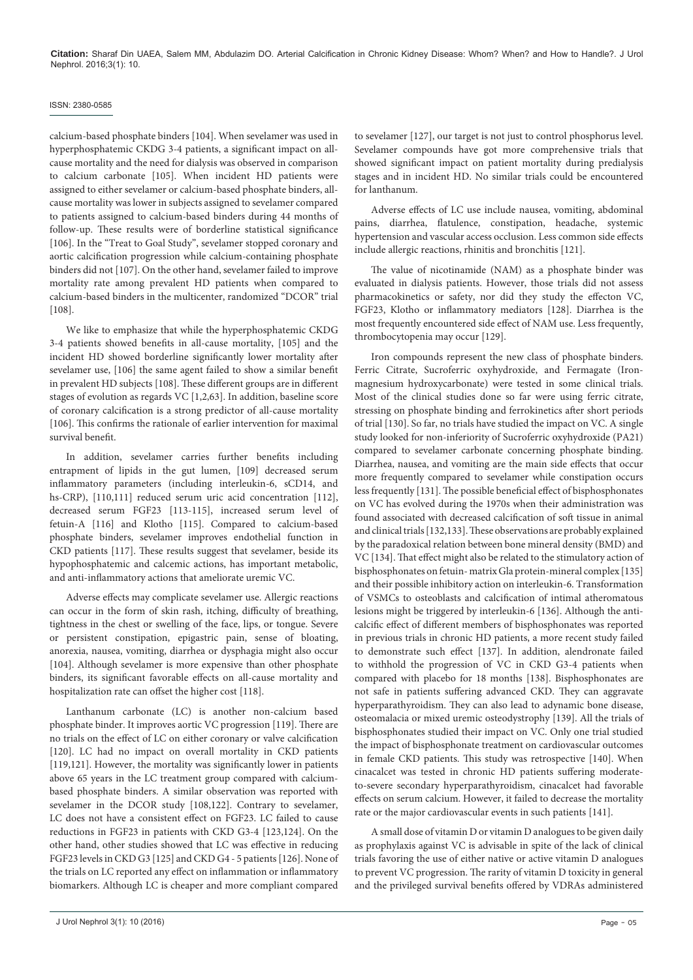### ISSN: 2380-0585

calcium-based phosphate binders [104]. When sevelamer was used in hyperphosphatemic CKDG 3-4 patients, a significant impact on allcause mortality and the need for dialysis was observed in comparison to calcium carbonate [105]. When incident HD patients were assigned to either sevelamer or calcium-based phosphate binders, allcause mortality was lower in subjects assigned to sevelamer compared to patients assigned to calcium-based binders during 44 months of follow-up. These results were of borderline statistical significance [106]. In the "Treat to Goal Study", sevelamer stopped coronary and aortic calcification progression while calcium-containing phosphate binders did not [107]. On the other hand, sevelamer failed to improve mortality rate among prevalent HD patients when compared to calcium-based binders in the multicenter, randomized "DCOR" trial [108].

We like to emphasize that while the hyperphosphatemic CKDG 3-4 patients showed benefits in all-cause mortality, [105] and the incident HD showed borderline significantly lower mortality after sevelamer use, [106] the same agent failed to show a similar benefit in prevalent HD subjects [108]. These different groups are in different stages of evolution as regards VC [1,2,63]. In addition, baseline score of coronary calcification is a strong predictor of all-cause mortality [106]. This confirms the rationale of earlier intervention for maximal survival benefit.

In addition, sevelamer carries further benefits including entrapment of lipids in the gut lumen, [109] decreased serum inflammatory parameters (including interleukin-6, sCD14, and hs-CRP), [110,111] reduced serum uric acid concentration [112], decreased serum FGF23 [113-115], increased serum level of fetuin-A [116] and Klotho [115]. Compared to calcium-based phosphate binders, sevelamer improves endothelial function in CKD patients [117]. These results suggest that sevelamer, beside its hypophosphatemic and calcemic actions, has important metabolic, and anti-inflammatory actions that ameliorate uremic VC.

Adverse effects may complicate sevelamer use. Allergic reactions can occur in the form of skin rash, itching, difficulty of breathing, tightness in the chest or swelling of the face, lips, or tongue. Severe or persistent constipation, epigastric pain, sense of bloating, anorexia, nausea, vomiting, diarrhea or dysphagia might also occur [104]. Although sevelamer is more expensive than other phosphate binders, its significant favorable effects on all-cause mortality and hospitalization rate can offset the higher cost [118].

Lanthanum carbonate (LC) is another non-calcium based phosphate binder. It improves aortic VC progression [119]. There are no trials on the effect of LC on either coronary or valve calcification [120]. LC had no impact on overall mortality in CKD patients [119,121]. However, the mortality was significantly lower in patients above 65 years in the LC treatment group compared with calciumbased phosphate binders. A similar observation was reported with sevelamer in the DCOR study [108,122]. Contrary to sevelamer, LC does not have a consistent effect on FGF23. LC failed to cause reductions in FGF23 in patients with CKD G3-4 [123,124]. On the other hand, other studies showed that LC was effective in reducing FGF23 levels in CKD G3 [125] and CKD G4 - 5 patients [126]. None of the trials on LC reported any effect on inflammation or inflammatory biomarkers. Although LC is cheaper and more compliant compared

to sevelamer [127], our target is not just to control phosphorus level. Sevelamer compounds have got more comprehensive trials that showed significant impact on patient mortality during predialysis stages and in incident HD. No similar trials could be encountered for lanthanum.

Adverse effects of LC use include nausea, vomiting, abdominal pains, diarrhea, flatulence, constipation, headache, systemic hypertension and vascular access occlusion. Less common side effects include allergic reactions, rhinitis and bronchitis [121].

The value of nicotinamide (NAM) as a phosphate binder was evaluated in dialysis patients. However, those trials did not assess pharmacokinetics or safety, nor did they study the effecton VC, FGF23, Klotho or inflammatory mediators [128]. Diarrhea is the most frequently encountered side effect of NAM use. Less frequently, thrombocytopenia may occur [129].

Iron compounds represent the new class of phosphate binders. Ferric Citrate, Sucroferric oxyhydroxide, and Fermagate (Ironmagnesium hydroxycarbonate) were tested in some clinical trials. Most of the clinical studies done so far were using ferric citrate, stressing on phosphate binding and ferrokinetics after short periods of trial [130]. So far, no trials have studied the impact on VC. A single study looked for non-inferiority of Sucroferric oxyhydroxide (PA21) compared to sevelamer carbonate concerning phosphate binding. Diarrhea, nausea, and vomiting are the main side effects that occur more frequently compared to sevelamer while constipation occurs less frequently [131]. The possible beneficial effect of bisphosphonates on VC has evolved during the 1970s when their administration was found associated with decreased calcification of soft tissue in animal and clinical trials [132,133]. These observations are probably explained by the paradoxical relation between bone mineral density (BMD) and VC [134]. That effect might also be related to the stimulatory action of bisphosphonates on fetuin- matrix Gla protein-mineral complex [135] and their possible inhibitory action on interleukin-6. Transformation of VSMCs to osteoblasts and calcification of intimal atheromatous lesions might be triggered by interleukin-6 [136]. Although the anticalcific effect of different members of bisphosphonates was reported in previous trials in chronic HD patients, a more recent study failed to demonstrate such effect [137]. In addition, alendronate failed to withhold the progression of VC in CKD G3-4 patients when compared with placebo for 18 months [138]. Bisphosphonates are not safe in patients suffering advanced CKD. They can aggravate hyperparathyroidism. They can also lead to adynamic bone disease, osteomalacia or mixed uremic osteodystrophy [139]. All the trials of bisphosphonates studied their impact on VC. Only one trial studied the impact of bisphosphonate treatment on cardiovascular outcomes in female CKD patients. This study was retrospective [140]. When cinacalcet was tested in chronic HD patients suffering moderateto-severe secondary hyperparathyroidism, cinacalcet had favorable effects on serum calcium. However, it failed to decrease the mortality rate or the major cardiovascular events in such patients [141].

A small dose of vitamin D or vitamin D analogues to be given daily as prophylaxis against VC is advisable in spite of the lack of clinical trials favoring the use of either native or active vitamin D analogues to prevent VC progression. The rarity of vitamin D toxicity in general and the privileged survival benefits offered by VDRAs administered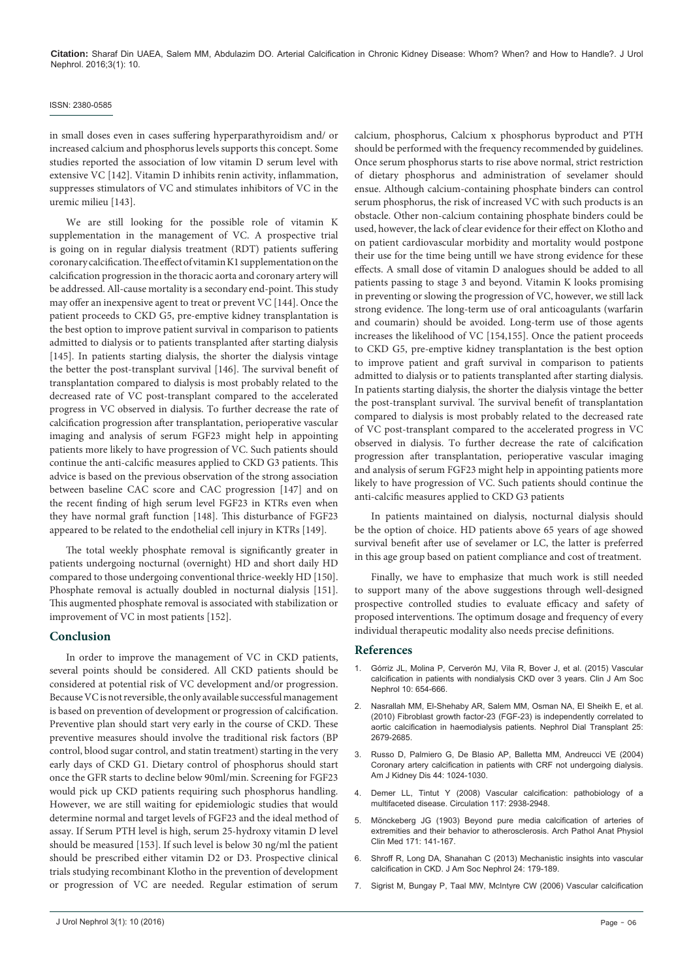#### ISSN: 2380-0585

in small doses even in cases suffering hyperparathyroidism and/ or increased calcium and phosphorus levels supports this concept. Some studies reported the association of low vitamin D serum level with extensive VC [142]. Vitamin D inhibits renin activity, inflammation, suppresses stimulators of VC and stimulates inhibitors of VC in the uremic milieu [143].

We are still looking for the possible role of vitamin K supplementation in the management of VC. A prospective trial is going on in regular dialysis treatment (RDT) patients suffering coronary calcification. The effect of vitamin K1 supplementation on the calcification progression in the thoracic aorta and coronary artery will be addressed. All-cause mortality is a secondary end-point. This study may offer an inexpensive agent to treat or prevent VC [144]. Once the patient proceeds to CKD G5, pre-emptive kidney transplantation is the best option to improve patient survival in comparison to patients admitted to dialysis or to patients transplanted after starting dialysis [145]. In patients starting dialysis, the shorter the dialysis vintage the better the post-transplant survival [146]. The survival benefit of transplantation compared to dialysis is most probably related to the decreased rate of VC post-transplant compared to the accelerated progress in VC observed in dialysis. To further decrease the rate of calcification progression after transplantation, perioperative vascular imaging and analysis of serum FGF23 might help in appointing patients more likely to have progression of VC. Such patients should continue the anti-calcific measures applied to CKD G3 patients. This advice is based on the previous observation of the strong association between baseline CAC score and CAC progression [147] and on the recent finding of high serum level FGF23 in KTRs even when they have normal graft function [148]. This disturbance of FGF23 appeared to be related to the endothelial cell injury in KTRs [149].

The total weekly phosphate removal is significantly greater in patients undergoing nocturnal (overnight) HD and short daily HD compared to those undergoing conventional thrice-weekly HD [150]. Phosphate removal is actually doubled in nocturnal dialysis [151]. This augmented phosphate removal is associated with stabilization or improvement of VC in most patients [152].

#### **Conclusion**

In order to improve the management of VC in CKD patients, several points should be considered. All CKD patients should be considered at potential risk of VC development and/or progression. Because VC is not reversible, the only available successful management is based on prevention of development or progression of calcification. Preventive plan should start very early in the course of CKD. These preventive measures should involve the traditional risk factors (BP control, blood sugar control, and statin treatment) starting in the very early days of CKD G1. Dietary control of phosphorus should start once the GFR starts to decline below 90ml/min. Screening for FGF23 would pick up CKD patients requiring such phosphorus handling. However, we are still waiting for epidemiologic studies that would determine normal and target levels of FGF23 and the ideal method of assay. If Serum PTH level is high, serum 25-hydroxy vitamin D level should be measured [153]. If such level is below 30 ng/ml the patient should be prescribed either vitamin D2 or D3. Prospective clinical trials studying recombinant Klotho in the prevention of development or progression of VC are needed. Regular estimation of serum calcium, phosphorus, Calcium x phosphorus byproduct and PTH should be performed with the frequency recommended by guidelines. Once serum phosphorus starts to rise above normal, strict restriction of dietary phosphorus and administration of sevelamer should ensue. Although calcium-containing phosphate binders can control serum phosphorus, the risk of increased VC with such products is an obstacle. Other non-calcium containing phosphate binders could be used, however, the lack of clear evidence for their effect on Klotho and on patient cardiovascular morbidity and mortality would postpone their use for the time being untill we have strong evidence for these effects. A small dose of vitamin D analogues should be added to all patients passing to stage 3 and beyond. Vitamin K looks promising in preventing or slowing the progression of VC, however, we still lack strong evidence. The long-term use of oral anticoagulants (warfarin and coumarin) should be avoided. Long-term use of those agents increases the likelihood of VC [154,155]. Once the patient proceeds to CKD G5, pre-emptive kidney transplantation is the best option to improve patient and graft survival in comparison to patients admitted to dialysis or to patients transplanted after starting dialysis. In patients starting dialysis, the shorter the dialysis vintage the better the post-transplant survival. The survival benefit of transplantation compared to dialysis is most probably related to the decreased rate of VC post-transplant compared to the accelerated progress in VC observed in dialysis. To further decrease the rate of calcification progression after transplantation, perioperative vascular imaging and analysis of serum FGF23 might help in appointing patients more likely to have progression of VC. Such patients should continue the anti-calcific measures applied to CKD G3 patients

In patients maintained on dialysis, nocturnal dialysis should be the option of choice. HD patients above 65 years of age showed survival benefit after use of sevelamer or LC, the latter is preferred in this age group based on patient compliance and cost of treatment.

Finally, we have to emphasize that much work is still needed to support many of the above suggestions through well-designed prospective controlled studies to evaluate efficacy and safety of proposed interventions. The optimum dosage and frequency of every individual therapeutic modality also needs precise definitions.

#### **References**

- 1. [Górriz JL, Molina P, Cerverón MJ, Vila R, Bover J, et al. \(2015\) Vascular](http://www.ncbi.nlm.nih.gov/pubmed/25770175)  [calcification in patients with nondialysis CKD over 3 years. Clin J Am Soc](http://www.ncbi.nlm.nih.gov/pubmed/25770175)  [Nephrol 10: 654-666.](http://www.ncbi.nlm.nih.gov/pubmed/25770175)
- 2. [Nasrallah MM, El-Shehaby AR, Salem MM, Osman NA, El Sheikh E, et al.](http://www.ncbi.nlm.nih.gov/pubmed/20176609)  [\(2010\) Fibroblast growth factor-23 \(FGF-23\) is independently correlated to](http://www.ncbi.nlm.nih.gov/pubmed/20176609)  [aortic calcification in haemodialysis patients. Nephrol Dial Transplant 25:](http://www.ncbi.nlm.nih.gov/pubmed/20176609)  [2679-2685.](http://www.ncbi.nlm.nih.gov/pubmed/20176609)
- 3. [Russo D, Palmiero G, De Blasio AP, Balletta MM, Andreucci VE \(2004\)](http://www.ncbi.nlm.nih.gov/pubmed/15558523)  [Coronary artery calcification in patients with CRF not undergoing dialysis.](http://www.ncbi.nlm.nih.gov/pubmed/15558523)  [Am J Kidney Dis 44: 1024-1030.](http://www.ncbi.nlm.nih.gov/pubmed/15558523)
- 4. [Demer LL, Tintut Y \(2008\) Vascular calcification: pathobiology of a](http://www.ncbi.nlm.nih.gov/pubmed/18519861)  [multifaceted disease. Circulation 117: 2938-2948.](http://www.ncbi.nlm.nih.gov/pubmed/18519861)
- 5. [Mönckeberg JG \(1903\) Beyond pure media calcification of arteries of](http://link.springer.com/article/10.1007%2FBF01926946)  [extremities and their behavior to atherosclerosis. Arch Pathol Anat Physiol](http://link.springer.com/article/10.1007%2FBF01926946)  [Clin Med 171: 141-167.](http://link.springer.com/article/10.1007%2FBF01926946)
- 6. [Shroff R, Long DA, Shanahan C \(2013\) Mechanistic insights into vascular](http://www.ncbi.nlm.nih.gov/pubmed/23138485)  [calcification in CKD. J Am Soc Nephrol 24: 179-189.](http://www.ncbi.nlm.nih.gov/pubmed/23138485)
- 7. [Sigrist M, Bungay P, Taal MW, McIntyre CW \(2006\) Vascular calcification](http://www.ncbi.nlm.nih.gov/pubmed/16263735)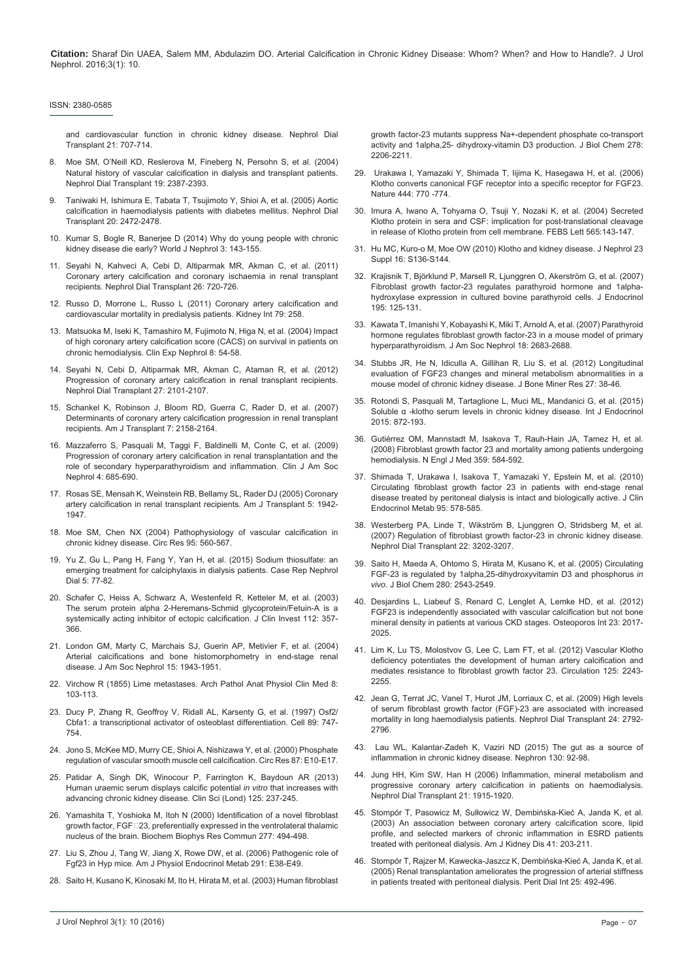#### ISSN: 2380-0585

[and cardiovascular function in chronic kidney disease. Nephrol Dial](http://www.ncbi.nlm.nih.gov/pubmed/16263735)  [Transplant 21: 707-714.](http://www.ncbi.nlm.nih.gov/pubmed/16263735)

- 8. [Moe SM, O'Neill KD, Reslerova M, Fineberg N, Persohn S, et al. \(2004\)](http://www.ncbi.nlm.nih.gov/pubmed/15252163)  [Natural history of vascular calcification in dialysis and transplant patients.](http://www.ncbi.nlm.nih.gov/pubmed/15252163)  [Nephrol Dial Transplant 19: 2387-2393.](http://www.ncbi.nlm.nih.gov/pubmed/15252163)
- 9. [Taniwaki H, Ishimura E, Tabata T, Tsujimoto Y, Shioi A, et al. \(2005\) Aortic](http://www.ncbi.nlm.nih.gov/pubmed/16077143)  [calcification in haemodialysis patients with diabetes mellitus. Nephrol Dial](http://www.ncbi.nlm.nih.gov/pubmed/16077143)  [Transplant 20: 2472-2478.](http://www.ncbi.nlm.nih.gov/pubmed/16077143)
- 10. [Kumar S, Bogle R, Banerjee D \(2014\) Why do young people with chronic](http://www.ncbi.nlm.nih.gov/pubmed/25374808)  [kidney disease die early? World J Nephrol 3: 143-155.](http://www.ncbi.nlm.nih.gov/pubmed/25374808)
- 11. [Seyahi N, Kahveci A, Cebi D, Altiparmak MR, Akman C, et al. \(2011\)](http://www.ncbi.nlm.nih.gov/pubmed/20621931)  [Coronary artery calcification and coronary ischaemia in renal transplant](http://www.ncbi.nlm.nih.gov/pubmed/20621931)  [recipients. Nephrol Dial Transplant 26: 720-726.](http://www.ncbi.nlm.nih.gov/pubmed/20621931)
- 12. [Russo D, Morrone L, Russo L \(2011\) Coronary artery calcification and](http://www.ncbi.nlm.nih.gov/pubmed/21191391)  [cardiovascular mortality in predialysis patients. Kidney Int 79: 258.](http://www.ncbi.nlm.nih.gov/pubmed/21191391)
- 13. [Matsuoka M, Iseki K, Tamashiro M, Fujimoto N, Higa N, et al. \(2004\) Impact](http://www.ncbi.nlm.nih.gov/pubmed/15067517)  [of high coronary artery calcification score \(CACS\) on survival in patients on](http://www.ncbi.nlm.nih.gov/pubmed/15067517)  [chronic hemodialysis. Clin Exp Nephrol 8: 54-58.](http://www.ncbi.nlm.nih.gov/pubmed/15067517)
- 14. [Seyahi N, Cebi D, Altiparmak MR, Akman C, Ataman R, et al. \(2012\)](http://www.ncbi.nlm.nih.gov/pubmed/21965591)  [Progression of coronary artery calcification in renal transplant recipients.](http://www.ncbi.nlm.nih.gov/pubmed/21965591)  [Nephrol Dial Transplant 27: 2101-2107.](http://www.ncbi.nlm.nih.gov/pubmed/21965591)
- 15. [Schankel K, Robinson J, Bloom RD, Guerra C, Rader D, et al. \(2007\)](http://www.ncbi.nlm.nih.gov/pubmed/17640315)  [Determinants of coronary artery calcification progression in renal transplant](http://www.ncbi.nlm.nih.gov/pubmed/17640315)  [recipients. Am J Transplant 7: 2158-2164.](http://www.ncbi.nlm.nih.gov/pubmed/17640315)
- 16. [Mazzaferro S, Pasquali M, Taggi F, Baldinelli M, Conte C, et al. \(2009\)](http://www.ncbi.nlm.nih.gov/pubmed/19211668)  [Progression of coronary artery calcification in renal transplantation and the](http://www.ncbi.nlm.nih.gov/pubmed/19211668)  [role of secondary hyperparathyroidism and inflammation. Clin J Am Soc](http://www.ncbi.nlm.nih.gov/pubmed/19211668)  [Nephrol 4: 685-690.](http://www.ncbi.nlm.nih.gov/pubmed/19211668)
- 17. [Rosas SE, Mensah K, Weinstein RB, Bellamy SL, Rader DJ \(2005\) Coronary](http://www.ncbi.nlm.nih.gov/pubmed/15996243)  [artery calcification in renal transplant recipients. Am J Transplant 5: 1942-](http://www.ncbi.nlm.nih.gov/pubmed/15996243) [1947.](http://www.ncbi.nlm.nih.gov/pubmed/15996243)
- 18. [Moe SM, Chen NX \(2004\) Pathophysiology of vascular calcification in](http://www.ncbi.nlm.nih.gov/pubmed/15375022)  [chronic kidney disease. Circ Res 95: 560-567.](http://www.ncbi.nlm.nih.gov/pubmed/15375022)
- 19. [Yu Z, Gu L, Pang H, Fang Y, Yan H, et al. \(2015\) Sodium thiosulfate: an](http://www.ncbi.nlm.nih.gov/pubmed/25874198)  [emerging treatment for calciphylaxis in dialysis patients. Case Rep Nephrol](http://www.ncbi.nlm.nih.gov/pubmed/25874198)  [Dial 5: 77-82.](http://www.ncbi.nlm.nih.gov/pubmed/25874198)
- 20. [Schafer C, Heiss A, Schwarz A, Westenfeld R, Ketteler M, et al. \(2003\)](http://www.ncbi.nlm.nih.gov/pubmed/12897203)  [The serum protein alpha 2-Heremans-Schmid glycoprotein/Fetuin-A is a](http://www.ncbi.nlm.nih.gov/pubmed/12897203)  [systemically acting inhibitor of ectopic calcification. J Clin Invest 112: 357-](http://www.ncbi.nlm.nih.gov/pubmed/12897203) [366.](http://www.ncbi.nlm.nih.gov/pubmed/12897203)
- 21. [London GM, Marty C, Marchais SJ, Guerin AP, Metivier F, et al. \(2004\)](http://www.ncbi.nlm.nih.gov/pubmed/15213285)  [Arterial calcifications and bone histomorphometry in end-stage renal](http://www.ncbi.nlm.nih.gov/pubmed/15213285)  [disease. J Am Soc Nephrol 15: 1943-1951.](http://www.ncbi.nlm.nih.gov/pubmed/15213285)
- 22. [Virchow R \(1855\) Lime metastases. Arch Pathol Anat Physiol Clin Med 8:](http://link.springer.com/article/10.1007%2FBF01935316)  [103-113.](http://link.springer.com/article/10.1007%2FBF01935316)
- 23. [Ducy P, Zhang R, Geoffroy V, Ridall AL, Karsenty G, et al. \(1997\) Osf2/](http://www.ncbi.nlm.nih.gov/pubmed/9182762) [Cbfa1: a transcriptional activator of osteoblast differentiation. Cell 89: 747-](http://www.ncbi.nlm.nih.gov/pubmed/9182762) [754.](http://www.ncbi.nlm.nih.gov/pubmed/9182762)
- 24. [Jono S, McKee MD, Murry CE, Shioi A, Nishizawa Y, et al. \(2000\) Phosphate](http://www.ncbi.nlm.nih.gov/pubmed/11009570)  [regulation of vascular smooth muscle cell calcification. Circ Res 87: E10-E17.](http://www.ncbi.nlm.nih.gov/pubmed/11009570)
- Patidar A, Singh DK, Winocour P, Farrington K, Baydoun AR (2013) [Human uraemic serum displays calcific potential](http://www.ncbi.nlm.nih.gov/pubmed/23464884) *in vitro* that increases with [advancing chronic kidney disease. Clin Sci \(Lond\) 125: 237-245.](http://www.ncbi.nlm.nih.gov/pubmed/23464884)
- 26. [Yamashita T, Yoshioka M, Itoh N \(2000\) Identification of a novel fibroblast](http://www.ncbi.nlm.nih.gov/pubmed/11032749)  growth factor, FGF<sup>123</sup>, preferentially expressed in the ventrolateral thalamic [nucleus of the brain. Biochem Biophys Res Commun 277: 494-498.](http://www.ncbi.nlm.nih.gov/pubmed/11032749)
- 27. [Liu S, Zhou J, Tang W, Jiang X, Rowe DW, et al. \(2006\) Pathogenic role of](http://www.ncbi.nlm.nih.gov/pubmed/16449303)  [Fgf23 in Hyp mice. Am J Physiol Endocrinol Metab 291: E38-E49.](http://www.ncbi.nlm.nih.gov/pubmed/16449303)
- 28. [Saito H, Kusano K, Kinosaki M, Ito H, Hirata M, et al. \(2003\) Human fibroblast](http://www.ncbi.nlm.nih.gov/pubmed/12419819)

[growth factor-23 mutants suppress Na+-dependent phosphate co-transport](http://www.ncbi.nlm.nih.gov/pubmed/12419819)  [activity and 1alpha,25- dihydroxy-vitamin D3 production. J Biol Chem 278:](http://www.ncbi.nlm.nih.gov/pubmed/12419819)  [2206-2211.](http://www.ncbi.nlm.nih.gov/pubmed/12419819)

- 29. [Urakawa I, Yamazaki Y, Shimada T, Iijima K, Hasegawa H, et al. \(2006\)](http://www.ncbi.nlm.nih.gov/pubmed/17086194)  [Klotho converts canonical FGF receptor into a specific receptor for FGF23.](http://www.ncbi.nlm.nih.gov/pubmed/17086194)  [Nature 444: 770 -774.](http://www.ncbi.nlm.nih.gov/pubmed/17086194)
- 30. [Imura A, Iwano A, Tohyama O, Tsuji Y, Nozaki K, et al. \(2004\) Secreted](http://www.ncbi.nlm.nih.gov/pubmed/15135068)  [Klotho protein in sera and CSF: implication for post-translational cleavage](http://www.ncbi.nlm.nih.gov/pubmed/15135068)  [in release of Klotho protein from cell membrane. FEBS Lett 565:143-147.](http://www.ncbi.nlm.nih.gov/pubmed/15135068)
- 31. [Hu MC, Kuro-o M, Moe OW \(2010\) Klotho and kidney disease. J Nephrol 23](http://www.ncbi.nlm.nih.gov/pubmed/21170871)  [Suppl 16: S136-S144.](http://www.ncbi.nlm.nih.gov/pubmed/21170871)
- 32. [Krajisnik T, Björklund P, Marsell R, Ljunggren O, Akerström G, et al. \(2007\)](http://www.ncbi.nlm.nih.gov/pubmed/17911404)  [Fibroblast growth factor-23 regulates parathyroid hormone and 1alpha](http://www.ncbi.nlm.nih.gov/pubmed/17911404)[hydroxylase expression in cultured bovine parathyroid cells. J Endocrinol](http://www.ncbi.nlm.nih.gov/pubmed/17911404)  [195: 125-131.](http://www.ncbi.nlm.nih.gov/pubmed/17911404)
- 33. [Kawata T, Imanishi Y, Kobayashi K, Miki T, Arnold A, et al. \(2007\) Parathyroid](http://www.ncbi.nlm.nih.gov/pubmed/17855636)  [hormone regulates fibroblast growth factor-23 in a mouse model of primary](http://www.ncbi.nlm.nih.gov/pubmed/17855636)  [hyperparathyroidism. J Am Soc Nephrol 18: 2683-2688.](http://www.ncbi.nlm.nih.gov/pubmed/17855636)
- 34. [Stubbs JR, He N, Idiculla A, Gillihan R, Liu S, et al. \(2012\) Longitudinal](http://www.ncbi.nlm.nih.gov/pubmed/22031097)  [evaluation of FGF23 changes and mineral metabolism abnormalities in a](http://www.ncbi.nlm.nih.gov/pubmed/22031097)  [mouse model of chronic kidney disease. J Bone Miner Res 27: 38-46.](http://www.ncbi.nlm.nih.gov/pubmed/22031097)
- 35. [Rotondi S, Pasquali M, Tartaglione L, Muci ML, Mandanici G, et al. \(2015\)](http://www.ncbi.nlm.nih.gov/pubmed/25873958)  [Soluble α -klotho serum levels in chronic kidney disease. Int J Endocrinol](http://www.ncbi.nlm.nih.gov/pubmed/25873958)  [2015: 872-193.](http://www.ncbi.nlm.nih.gov/pubmed/25873958)
- 36. [Gutiérrez OM, Mannstadt M, Isakova T, Rauh-Hain JA, Tamez H, et al.](http://www.ncbi.nlm.nih.gov/pubmed/18687639)  [\(2008\) Fibroblast growth factor 23 and mortality among patients undergoing](http://www.ncbi.nlm.nih.gov/pubmed/18687639)  [hemodialysis. N Engl J Med 359: 584-592.](http://www.ncbi.nlm.nih.gov/pubmed/18687639)
- 37. [Shimada T, Urakawa I, Isakova T, Yamazaki Y, Epstein M, et al. \(2010\)](http://www.ncbi.nlm.nih.gov/pubmed/19965919)  [Circulating fibroblast growth factor 23 in patients with end-stage renal](http://www.ncbi.nlm.nih.gov/pubmed/19965919)  [disease treated by peritoneal dialysis is intact and biologically active. J Clin](http://www.ncbi.nlm.nih.gov/pubmed/19965919)  [Endocrinol Metab 95: 578-585.](http://www.ncbi.nlm.nih.gov/pubmed/19965919)
- 38. [Westerberg PA, Linde T, Wikström B, Ljunggren O, Stridsberg M, et al.](http://www.ncbi.nlm.nih.gov/pubmed/17567652)  [\(2007\) Regulation of fibroblast growth factor-23 in chronic kidney disease.](http://www.ncbi.nlm.nih.gov/pubmed/17567652)  [Nephrol Dial Transplant 22: 3202-3207.](http://www.ncbi.nlm.nih.gov/pubmed/17567652)
- 39. [Saito H, Maeda A, Ohtomo S, Hirata M, Kusano K, et al. \(2005\) Circulating](http://www.ncbi.nlm.nih.gov/pubmed/15531762)  [FGF-23 is regulated by 1alpha,25-dihydroxyvitamin D3 and phosphorus](http://www.ncbi.nlm.nih.gov/pubmed/15531762) *in vivo*[. J Biol Chem 280: 2543-2549.](http://www.ncbi.nlm.nih.gov/pubmed/15531762)
- 40. [Desjardins L, Liabeuf S, Renard C, Lenglet A, Lemke HD, et al. \(2012\)](http://www.ncbi.nlm.nih.gov/pubmed/22109743)  [FGF23 is independently associated with vascular calcification but not bone](http://www.ncbi.nlm.nih.gov/pubmed/22109743)  [mineral density in patients at various CKD stages. Osteoporos Int 23: 2017-](http://www.ncbi.nlm.nih.gov/pubmed/22109743) [2025.](http://www.ncbi.nlm.nih.gov/pubmed/22109743)
- 41. [Lim K, Lu TS, Molostvov G, Lee C, Lam FT, et al. \(2012\) Vascular Klotho](http://www.ncbi.nlm.nih.gov/pubmed/22492635)  [deficiency potentiates the development of human artery calcification and](http://www.ncbi.nlm.nih.gov/pubmed/22492635)  [mediates resistance to fibroblast growth factor 23. Circulation 125: 2243-](http://www.ncbi.nlm.nih.gov/pubmed/22492635) [2255.](http://www.ncbi.nlm.nih.gov/pubmed/22492635)
- 42. [Jean G, Terrat JC, Vanel T, Hurot JM, Lorriaux C, et al. \(2009\) High levels](http://www.ncbi.nlm.nih.gov/pubmed/19395730)  [of serum fibroblast growth factor \(FGF\)-23 are associated with increased](http://www.ncbi.nlm.nih.gov/pubmed/19395730)  [mortality in long haemodialysis patients. Nephrol Dial Transplant 24: 2792-](http://www.ncbi.nlm.nih.gov/pubmed/19395730) [2796.](http://www.ncbi.nlm.nih.gov/pubmed/19395730)
- 43. [Lau WL, Kalantar-Zadeh K, Vaziri ND \(2015\) The gut as a source of](http://www.ncbi.nlm.nih.gov/pubmed/25967288)  [inflammation in chronic kidney disease. Nephron 130: 92-98.](http://www.ncbi.nlm.nih.gov/pubmed/25967288)
- 44. [Jung HH, Kim SW, Han H \(2006\) Inflammation, mineral metabolism and](http://www.ncbi.nlm.nih.gov/pubmed/16554319)  [progressive coronary artery calcification in patients on haemodialysis.](http://www.ncbi.nlm.nih.gov/pubmed/16554319)  [Nephrol Dial Transplant 21: 1915-1920.](http://www.ncbi.nlm.nih.gov/pubmed/16554319)
- 45. [Stompór T, Pasowicz M, Sulłowicz W, Dembińska-Kieć A, Janda K, et al.](http://www.ncbi.nlm.nih.gov/pubmed/12500238)  [\(2003\) An association between coronary artery calcification score, lipid](http://www.ncbi.nlm.nih.gov/pubmed/12500238)  [profile, and selected markers of chronic inflammation in ESRD patients](http://www.ncbi.nlm.nih.gov/pubmed/12500238)  [treated with peritoneal dialysis. Am J Kidney Dis 41: 203-211](http://www.ncbi.nlm.nih.gov/pubmed/12500238).
- 46. [Stompór T, Rajzer M, Kawecka-Jaszcz K, Dembińska-Kieć A, Janda K, et al.](http://www.ncbi.nlm.nih.gov/pubmed/16178484)  [\(2005\) Renal transplantation ameliorates the progression of arterial stiffness](http://www.ncbi.nlm.nih.gov/pubmed/16178484)  [in patients treated with peritoneal dialysis. Perit Dial Int 25: 492-496.](http://www.ncbi.nlm.nih.gov/pubmed/16178484)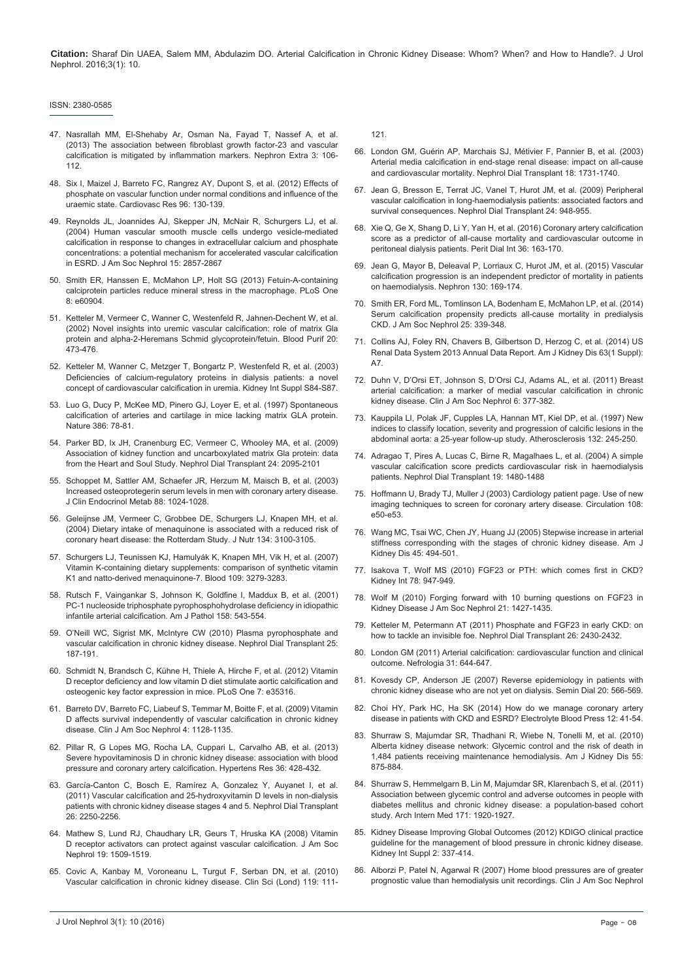#### ISSN: 2380-0585

- 47. [Nasrallah MM, El-Shehaby Ar, Osman Na, Fayad T, Nassef A, et al.](http://www.ncbi.nlm.nih.gov/pubmed/24348506)  [\(2013\) The association between fibroblast growth factor-23 and vascular](http://www.ncbi.nlm.nih.gov/pubmed/24348506)  [calcification is mitigated by inflammation markers. Nephron Extra 3: 106-](http://www.ncbi.nlm.nih.gov/pubmed/24348506) [112.](http://www.ncbi.nlm.nih.gov/pubmed/24348506)
- 48. [Six I, Maizel J, Barreto FC, Rangrez AY, Dupont S, et al. \(2012\) Effects of](http://www.ncbi.nlm.nih.gov/pubmed/22822101)  [phosphate on vascular function under normal conditions and influence of the](http://www.ncbi.nlm.nih.gov/pubmed/22822101)  [uraemic state. Cardiovasc Res 96: 130-139.](http://www.ncbi.nlm.nih.gov/pubmed/22822101)
- 49. [Reynolds JL, Joannides AJ, Skepper JN, McNair R, Schurgers LJ, et al.](http://www.ncbi.nlm.nih.gov/pubmed/15504939)  [\(2004\) Human vascular smooth muscle cells undergo vesicle-mediated](http://www.ncbi.nlm.nih.gov/pubmed/15504939)  [calcification in response to changes in extracellular calcium and phosphate](http://www.ncbi.nlm.nih.gov/pubmed/15504939)  [concentrations: a potential mechanism for accelerated vascular calcification](http://www.ncbi.nlm.nih.gov/pubmed/15504939)  [in ESRD. J Am Soc Nephrol 15: 2857-2867](http://www.ncbi.nlm.nih.gov/pubmed/15504939)
- 50. [Smith ER, Hanssen E, McMahon LP, Holt SG \(2013\) Fetuin-A-containing](http://www.ncbi.nlm.nih.gov/pubmed/23577176)  [calciprotein particles reduce mineral stress in the macrophage. PLoS One](http://www.ncbi.nlm.nih.gov/pubmed/23577176)  [8: e60904.](http://www.ncbi.nlm.nih.gov/pubmed/23577176)
- 51. [Ketteler M, Vermeer C, Wanner C, Westenfeld R, Jahnen-Dechent W, et al.](http://www.ncbi.nlm.nih.gov/pubmed/12207096)  [\(2002\) Novel insights into uremic vascular calcification: role of matrix Gla](http://www.ncbi.nlm.nih.gov/pubmed/12207096)  [protein and alpha-2-Heremans Schmid glycoprotein/fetuin. Blood Purif 20:](http://www.ncbi.nlm.nih.gov/pubmed/12207096)  [473-476.](http://www.ncbi.nlm.nih.gov/pubmed/12207096)
- 52. [Ketteler M, Wanner C, Metzger T, Bongartz P, Westenfeld R, et al. \(2003\)](http://www.ncbi.nlm.nih.gov/pubmed/12694317)  [Deficiencies of calcium-regulatory proteins in dialysis patients: a novel](http://www.ncbi.nlm.nih.gov/pubmed/12694317)  [concept of cardiovascular calcification in uremia. Kidney Int Suppl S84-S87.](http://www.ncbi.nlm.nih.gov/pubmed/12694317)
- 53. [Luo G, Ducy P, McKee MD, Pinero GJ, Loyer E, et al. \(1997\) Spontaneous](http://www.ncbi.nlm.nih.gov/pubmed/9052783)  [calcification of arteries and cartilage in mice lacking matrix GLA protein.](http://www.ncbi.nlm.nih.gov/pubmed/9052783)  [Nature 386: 78-81.](http://www.ncbi.nlm.nih.gov/pubmed/9052783)
- 54. [Parker BD, Ix JH, Cranenburg EC, Vermeer C, Whooley MA, et al. \(2009\)](http://www.ncbi.nlm.nih.gov/pubmed/19204017)  [Association of kidney function and uncarboxylated matrix Gla protein: data](http://www.ncbi.nlm.nih.gov/pubmed/19204017)  [from the Heart and Soul Study. Nephrol Dial Transplant 24: 2095-2101](http://www.ncbi.nlm.nih.gov/pubmed/19204017)
- 55. [Schoppet M, Sattler AM, Schaefer JR, Herzum M, Maisch B, et al. \(2003\)](http://www.ncbi.nlm.nih.gov/pubmed/12629080)  [Increased osteoprotegerin serum levels in men with coronary artery disease.](http://www.ncbi.nlm.nih.gov/pubmed/12629080)  [J Clin Endocrinol Metab 88: 1024-1028.](http://www.ncbi.nlm.nih.gov/pubmed/12629080)
- 56. [Geleijnse JM, Vermeer C, Grobbee DE, Schurgers LJ, Knapen MH, et al.](http://www.ncbi.nlm.nih.gov/pubmed/15514282)  [\(2004\) Dietary intake of menaquinone is associated with a reduced risk of](http://www.ncbi.nlm.nih.gov/pubmed/15514282)  [coronary heart disease: the Rotterdam Study. J Nutr 134: 3100-3105.](http://www.ncbi.nlm.nih.gov/pubmed/15514282)
- 57. [Schurgers LJ, Teunissen KJ, Hamulyák K, Knapen MH, Vik H, et al. \(2007\)](http://www.ncbi.nlm.nih.gov/pubmed/17158229)  [Vitamin K-containing dietary supplements: comparison of synthetic vitamin](http://www.ncbi.nlm.nih.gov/pubmed/17158229)  [K1 and natto-derived menaquinone-7. Blood 109: 3279-3283.](http://www.ncbi.nlm.nih.gov/pubmed/17158229)
- 58. [Rutsch F, Vaingankar S, Johnson K, Goldfine I, Maddux B, et al. \(2001\)](http://www.ncbi.nlm.nih.gov/pubmed/11159191)  [PC-1 nucleoside triphosphate pyrophosphohydrolase deficiency in idiopathic](http://www.ncbi.nlm.nih.gov/pubmed/11159191)  [infantile arterial calcification. Am J Pathol 158: 543-554.](http://www.ncbi.nlm.nih.gov/pubmed/11159191)
- 59. [O'Neill WC, Sigrist MK, McIntyre CW \(2010\) Plasma pyrophosphate and](http://www.ncbi.nlm.nih.gov/pubmed/19633093)  [vascular calcification in chronic kidney disease. Nephrol Dial Transplant 25:](http://www.ncbi.nlm.nih.gov/pubmed/19633093)  [187-191.](http://www.ncbi.nlm.nih.gov/pubmed/19633093)
- 60. [Schmidt N, Brandsch C, Kühne H, Thiele A, Hirche F, et al. \(2012\) Vitamin](http://www.ncbi.nlm.nih.gov/pubmed/22536373)  [D receptor deficiency and low vitamin D diet stimulate aortic calcification and](http://www.ncbi.nlm.nih.gov/pubmed/22536373)  [osteogenic key factor expression in mice. PLoS One 7: e35316.](http://www.ncbi.nlm.nih.gov/pubmed/22536373)
- 61. [Barreto DV, Barreto FC, Liabeuf S, Temmar M, Boitte F, et al. \(2009\) Vitamin](http://www.ncbi.nlm.nih.gov/pubmed/19443628)  [D affects survival independently of vascular calcification in chronic kidney](http://www.ncbi.nlm.nih.gov/pubmed/19443628)  [disease. Clin J Am Soc Nephrol 4: 1128-1135.](http://www.ncbi.nlm.nih.gov/pubmed/19443628)
- 62. [Pillar R, G Lopes MG, Rocha LA, Cuppari L, Carvalho AB, et al. \(2013\)](http://www.ncbi.nlm.nih.gov/pubmed/23364344)  [Severe hypovitaminosis D in chronic kidney disease: association with blood](http://www.ncbi.nlm.nih.gov/pubmed/23364344)  [pressure and coronary artery calcification. Hypertens Res 36: 428-432.](http://www.ncbi.nlm.nih.gov/pubmed/23364344)
- 63. [García-Canton C, Bosch E, Ramírez A, Gonzalez Y, Auyanet I, et al.](http://www.ncbi.nlm.nih.gov/pubmed/20956810)  [\(2011\) Vascular calcification and 25-hydroxyvitamin D levels in non-dialysis](http://www.ncbi.nlm.nih.gov/pubmed/20956810)  [patients with chronic kidney disease stages 4 and 5. Nephrol Dial Transplant](http://www.ncbi.nlm.nih.gov/pubmed/20956810)  [26: 2250-2256.](http://www.ncbi.nlm.nih.gov/pubmed/20956810)
- 64. [Mathew S, Lund RJ, Chaudhary LR, Geurs T, Hruska KA \(2008\) Vitamin](http://www.ncbi.nlm.nih.gov/pubmed/18448587)  [D receptor activators can protect against vascular calcification. J Am Soc](http://www.ncbi.nlm.nih.gov/pubmed/18448587)  [Nephrol 19: 1509-1519.](http://www.ncbi.nlm.nih.gov/pubmed/18448587)
- 65. [Covic A, Kanbay M, Voroneanu L, Turgut F, Serban DN, et al. \(2010\)](http://www.ncbi.nlm.nih.gov/pubmed/20443781)  [Vascular calcification in chronic kidney disease. Clin Sci \(Lond\) 119: 111-](http://www.ncbi.nlm.nih.gov/pubmed/20443781)

J Urol Nephrol 3(1): 10 (2016) Page - 08

[121.](http://www.ncbi.nlm.nih.gov/pubmed/20443781)

- 66. [London GM, Guérin AP, Marchais SJ, Métivier F, Pannier B, et al. \(2003\)](http://www.ncbi.nlm.nih.gov/pubmed/12937218)  [Arterial media calcification in end-stage renal disease: impact on all-cause](http://www.ncbi.nlm.nih.gov/pubmed/12937218)  [and cardiovascular mortality. Nephrol Dial Transplant 18: 1731-1740.](http://www.ncbi.nlm.nih.gov/pubmed/12937218)
- 67. [Jean G, Bresson E, Terrat JC, Vanel T, Hurot JM, et al. \(2009\) Peripheral](http://www.ncbi.nlm.nih.gov/pubmed/18852190)  [vascular calcification in long-haemodialysis patients: associated factors and](http://www.ncbi.nlm.nih.gov/pubmed/18852190)  [survival consequences. Nephrol Dial Transplant 24: 948-955.](http://www.ncbi.nlm.nih.gov/pubmed/18852190)
- 68. [Xie Q, Ge X, Shang D, Li Y, Yan H, et al. \(2016\) Coronary artery calcification](http://www.ncbi.nlm.nih.gov/pubmed/26224787)  [score as a predictor of all-cause mortality and cardiovascular outcome in](http://www.ncbi.nlm.nih.gov/pubmed/26224787)  [peritoneal dialysis patients. Perit Dial Int 36: 163-170.](http://www.ncbi.nlm.nih.gov/pubmed/26224787)
- 69. [Jean G, Mayor B, Deleaval P, Lorriaux C, Hurot JM, et al. \(2015\) Vascular](http://www.ncbi.nlm.nih.gov/pubmed/26113315)  [calcification progression is an independent predictor of mortality in patients](http://www.ncbi.nlm.nih.gov/pubmed/26113315)  [on haemodialysis. Nephron 130: 169-174.](http://www.ncbi.nlm.nih.gov/pubmed/26113315)
- 70. [Smith ER, Ford ML, Tomlinson LA, Bodenham E, McMahon LP, et al. \(2014\)](http://www.ncbi.nlm.nih.gov/pubmed/24179171)  [Serum calcification propensity predicts all-cause mortality in predialysis](http://www.ncbi.nlm.nih.gov/pubmed/24179171)  [CKD. J Am Soc Nephrol 25: 339-348.](http://www.ncbi.nlm.nih.gov/pubmed/24179171)
- 71. [Collins AJ, Foley RN, Chavers B, Gilbertson D, Herzog C, et al. \(2014\) US](http://www.ncbi.nlm.nih.gov/pubmed/24360288)  [Renal Data System 2013 Annual Data Report. Am J Kidney Dis 63\(1 Suppl\):](http://www.ncbi.nlm.nih.gov/pubmed/24360288)  [A7.](http://www.ncbi.nlm.nih.gov/pubmed/24360288)
- 72. [Duhn V, D'Orsi ET, Johnson S, D'Orsi CJ, Adams AL, et al. \(2011\) Breast](http://www.ncbi.nlm.nih.gov/pubmed/21258037)  [arterial calcification: a marker of medial vascular calcification in chronic](http://www.ncbi.nlm.nih.gov/pubmed/21258037)  [kidney disease. Clin J Am Soc Nephrol 6: 377-382.](http://www.ncbi.nlm.nih.gov/pubmed/21258037)
- 73. [Kauppila LI, Polak JF, Cupples LA, Hannan MT, Kiel DP, et al. \(1997\) New](http://www.ncbi.nlm.nih.gov/pubmed/9242971)  [indices to classify location, severity and progression of calcific lesions in the](http://www.ncbi.nlm.nih.gov/pubmed/9242971)  [abdominal aorta: a 25-year follow-up study. Atherosclerosis 132: 245-250.](http://www.ncbi.nlm.nih.gov/pubmed/9242971)
- 74. [Adragao T, Pires A, Lucas C, Birne R, Magalhaes L, et al. \(2004\) A simple](http://www.ncbi.nlm.nih.gov/pubmed/15034154)  [vascular calcification score predicts cardiovascular risk in haemodialysis](http://www.ncbi.nlm.nih.gov/pubmed/15034154)  [patients. Nephrol Dial Transplant 19: 1480-1488](http://www.ncbi.nlm.nih.gov/pubmed/15034154)
- 75. [Hoffmann U, Brady TJ, Muller J \(2003\) Cardiology patient page. Use of new](http://www.ncbi.nlm.nih.gov/pubmed/12939244)  [imaging techniques to screen for coronary artery disease. Circulation 108:](http://www.ncbi.nlm.nih.gov/pubmed/12939244)  [e50-e53.](http://www.ncbi.nlm.nih.gov/pubmed/12939244)
- 76. [Wang MC, Tsai WC, Chen JY, Huang JJ \(2005\) Stepwise increase in arterial](http://www.ncbi.nlm.nih.gov/pubmed/15754271)  [stiffness corresponding with the stages of chronic kidney disease. Am J](http://www.ncbi.nlm.nih.gov/pubmed/15754271)  [Kidney Dis 45: 494-501.](http://www.ncbi.nlm.nih.gov/pubmed/15754271)
- 77. [Isakova T, Wolf MS \(2010\) FGF23 or PTH: which comes first in CKD?](http://www.ncbi.nlm.nih.gov/pubmed/21030968)  [Kidney Int 78: 947-949.](http://www.ncbi.nlm.nih.gov/pubmed/21030968)
- 78. [Wolf M \(2010\) Forging forward with 10 burning questions on FGF23 in](http://www.ncbi.nlm.nih.gov/pubmed/20507943)  [Kidney Disease J Am Soc Nephrol 21: 1427-1435.](http://www.ncbi.nlm.nih.gov/pubmed/20507943)
- 79. [Ketteler M, Petermann AT \(2011\) Phosphate and FGF23 in early CKD: on](http://www.ncbi.nlm.nih.gov/pubmed/21803732)  [how to tackle an invisible foe. Nephrol Dial Transplant 26: 2430-2432.](http://www.ncbi.nlm.nih.gov/pubmed/21803732)
- 80. [London GM \(2011\) Arterial calcification: cardiovascular function and clinical](http://www.ncbi.nlm.nih.gov/pubmed/22130278)  [outcome. Nefrologia 31: 644-647.](http://www.ncbi.nlm.nih.gov/pubmed/22130278)
- 81. [Kovesdy CP, Anderson JE \(2007\) Reverse epidemiology in patients with](http://www.ncbi.nlm.nih.gov/pubmed/17991206)  [chronic kidney disease who are not yet on dialysis. Semin Dial 20: 566-569.](http://www.ncbi.nlm.nih.gov/pubmed/17991206)
- 82. [Choi HY, Park HC, Ha SK \(2014\) How do we manage coronary artery](http://www.ncbi.nlm.nih.gov/pubmed/25606043)  [disease in patients with CKD and ESRD? Electrolyte Blood Press 12: 41-54.](http://www.ncbi.nlm.nih.gov/pubmed/25606043)
- 83. [Shurraw S, Majumdar SR, Thadhani R, Wiebe N, Tonelli M, et al. \(2010\)](http://www.ncbi.nlm.nih.gov/pubmed/20346561)  [Alberta kidney disease network: Glycemic control and the risk of death in](http://www.ncbi.nlm.nih.gov/pubmed/20346561)  [1,484 patients receiving maintenance hemodialysis. Am J Kidney Dis 55:](http://www.ncbi.nlm.nih.gov/pubmed/20346561)  [875-884.](http://www.ncbi.nlm.nih.gov/pubmed/20346561)
- 84. [Shurraw S, Hemmelgarn B, Lin M, Majumdar SR, Klarenbach S, et al. \(2011\)](http://www.ncbi.nlm.nih.gov/pubmed/22123800)  [Association between glycemic control and adverse outcomes in people with](http://www.ncbi.nlm.nih.gov/pubmed/22123800)  [diabetes mellitus and chronic kidney disease: a population-based cohort](http://www.ncbi.nlm.nih.gov/pubmed/22123800)  [study. Arch Intern Med 171: 1920-1927.](http://www.ncbi.nlm.nih.gov/pubmed/22123800)
- 85. [Kidney Disease Improving Global Outcomes \(2012\) KDIGO clinical practice](http://www.kdigo.org/clinical_practice_guidelines/pdf/KDIGO_BP_GL.pdf)  [guideline for the management of blood pressure in chronic kidney disease.](http://www.kdigo.org/clinical_practice_guidelines/pdf/KDIGO_BP_GL.pdf)  [Kidney Int Suppl 2: 337-414.](http://www.kdigo.org/clinical_practice_guidelines/pdf/KDIGO_BP_GL.pdf)
- 86. [Alborzi P, Patel N, Agarwal R \(2007\) Home blood pressures are of greater](http://www.ncbi.nlm.nih.gov/pubmed/17942773)  [prognostic value than hemodialysis unit recordings. Clin J Am Soc Nephrol](http://www.ncbi.nlm.nih.gov/pubmed/17942773)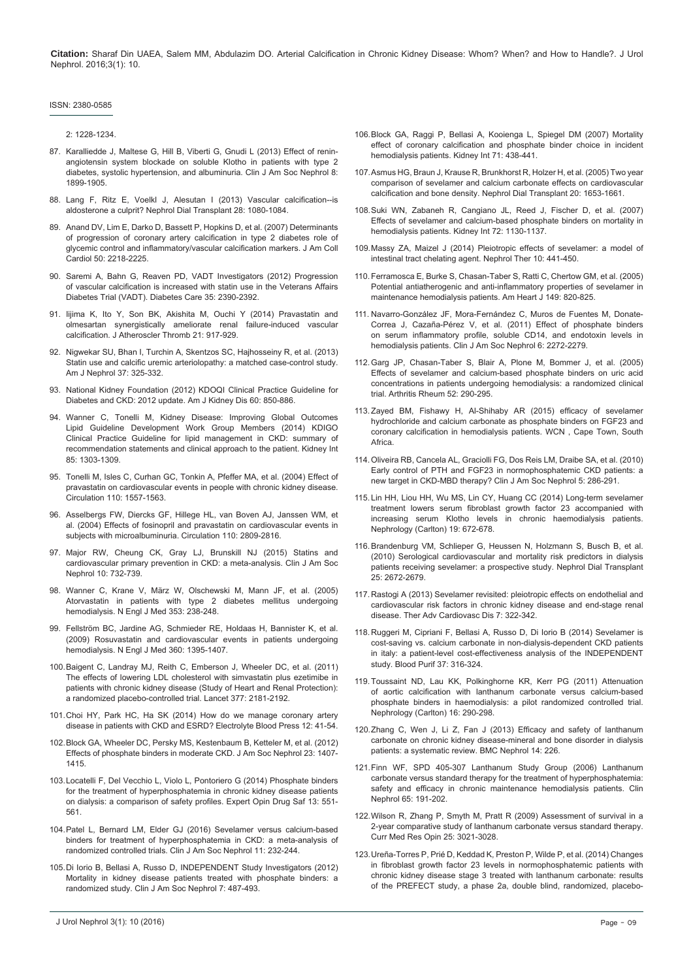#### ISSN: 2380-0585

[2: 1228-1234.](http://www.ncbi.nlm.nih.gov/pubmed/17942773)

- 87. [Karalliedde J, Maltese G, Hill B, Viberti G, Gnudi L \(2013\) Effect of renin](http://www.ncbi.nlm.nih.gov/pubmed/23929932)[angiotensin system blockade on soluble Klotho in patients with type 2](http://www.ncbi.nlm.nih.gov/pubmed/23929932)  [diabetes, systolic hypertension, and albuminuria. Clin J Am Soc Nephrol 8:](http://www.ncbi.nlm.nih.gov/pubmed/23929932)  [1899-1905.](http://www.ncbi.nlm.nih.gov/pubmed/23929932)
- 88. [Lang F, Ritz E, Voelkl J, Alesutan I \(2013\) Vascular calcification--is](http://www.ncbi.nlm.nih.gov/pubmed/23476041)  [aldosterone a culprit? Nephrol Dial Transplant 28: 1080-1084.](http://www.ncbi.nlm.nih.gov/pubmed/23476041)
- 89. [Anand DV, Lim E, Darko D, Bassett P, Hopkins D, et al. \(2007\) Determinants](http://www.ncbi.nlm.nih.gov/pubmed/18061069)  [of progression of coronary artery calcification in type 2 diabetes role of](http://www.ncbi.nlm.nih.gov/pubmed/18061069)  [glycemic control and inflammatory/vascular calcification markers. J Am Coll](http://www.ncbi.nlm.nih.gov/pubmed/18061069)  [Cardiol 50: 2218-2225.](http://www.ncbi.nlm.nih.gov/pubmed/18061069)
- 90. [Saremi A, Bahn G, Reaven PD, VADT Investigators \(2012\) Progression](http://www.ncbi.nlm.nih.gov/pubmed/22875226)  [of vascular calcification is increased with statin use in the Veterans Affairs](http://www.ncbi.nlm.nih.gov/pubmed/22875226)  [Diabetes Trial \(VADT\). Diabetes Care 35: 2390-2392.](http://www.ncbi.nlm.nih.gov/pubmed/22875226)
- 91. [Iijima K, Ito Y, Son BK, Akishita M, Ouchi Y \(2014\) Pravastatin and](http://www.ncbi.nlm.nih.gov/pubmed/24834982)  [olmesartan synergistically ameliorate renal failure-induced vascular](http://www.ncbi.nlm.nih.gov/pubmed/24834982)  [calcification. J Atheroscler Thromb 21: 917-929.](http://www.ncbi.nlm.nih.gov/pubmed/24834982)
- 92. [Nigwekar SU, Bhan I, Turchin A, Skentzos SC, Hajhosseiny R, et al. \(2013\)](http://www.ncbi.nlm.nih.gov/pubmed/23548843)  [Statin use and calcific uremic arteriolopathy: a matched case-control study.](http://www.ncbi.nlm.nih.gov/pubmed/23548843)  [Am J Nephrol 37: 325-332.](http://www.ncbi.nlm.nih.gov/pubmed/23548843)
- 93. [National Kidney Foundation \(2012\) KDOQI Clinical Practice Guideline for](http://www.ncbi.nlm.nih.gov/pubmed/23067652)  [Diabetes and CKD: 2012 update. Am J Kidney Dis 60: 850-886.](http://www.ncbi.nlm.nih.gov/pubmed/23067652)
- 94. [Wanner C, Tonelli M, Kidney Disease: Improving Global Outcomes](http://www.ncbi.nlm.nih.gov/pubmed/24552851)  [Lipid Guideline Development Work Group Members \(2014\) KDIGO](http://www.ncbi.nlm.nih.gov/pubmed/24552851)  [Clinical Practice Guideline for lipid management in CKD: summary of](http://www.ncbi.nlm.nih.gov/pubmed/24552851)  [recommendation statements and clinical approach to the patient. Kidney Int](http://www.ncbi.nlm.nih.gov/pubmed/24552851)  [85: 1303-1309.](http://www.ncbi.nlm.nih.gov/pubmed/24552851)
- 95. [Tonelli M, Isles C, Curhan GC, Tonkin A, Pfeffer MA, et al. \(2004\) Effect of](http://www.ncbi.nlm.nih.gov/pubmed/15364796)  [pravastatin on cardiovascular events in people with chronic kidney disease.](http://www.ncbi.nlm.nih.gov/pubmed/15364796)  [Circulation 110: 1557-1563](http://www.ncbi.nlm.nih.gov/pubmed/15364796).
- 96. [Asselbergs FW, Diercks GF, Hillege HL, van Boven AJ, Janssen WM, et](http://www.ncbi.nlm.nih.gov/pubmed/15492322)  [al. \(2004\) Effects of fosinopril and pravastatin on cardiovascular events in](http://www.ncbi.nlm.nih.gov/pubmed/15492322)  [subjects with microalbuminuria. Circulation 110: 2809-2816.](http://www.ncbi.nlm.nih.gov/pubmed/15492322)
- 97. [Major RW, Cheung CK, Gray LJ, Brunskill NJ \(2015\) Statins and](http://www.ncbi.nlm.nih.gov/pubmed/25833405)  [cardiovascular primary prevention in CKD: a meta-analysis. Clin J Am Soc](http://www.ncbi.nlm.nih.gov/pubmed/25833405)  [Nephrol 10: 732-739.](http://www.ncbi.nlm.nih.gov/pubmed/25833405)
- 98. [Wanner C, Krane V, März W, Olschewski M, Mann JF, et al. \(2005\)](http://www.ncbi.nlm.nih.gov/pubmed/16034009)  [Atorvastatin in patients with type 2 diabetes mellitus undergoing](http://www.ncbi.nlm.nih.gov/pubmed/16034009)  [hemodialysis. N Engl J Med 353: 238-248.](http://www.ncbi.nlm.nih.gov/pubmed/16034009)
- 99. [Fellström BC, Jardine AG, Schmieder RE, Holdaas H, Bannister K, et al.](http://www.ncbi.nlm.nih.gov/pubmed/19332456)  [\(2009\) Rosuvastatin and cardiovascular events in patients undergoing](http://www.ncbi.nlm.nih.gov/pubmed/19332456)  [hemodialysis. N Engl J Med 360: 1395-1407.](http://www.ncbi.nlm.nih.gov/pubmed/19332456)
- 100.[Baigent C, Landray MJ, Reith C, Emberson J, Wheeler DC, et al. \(2011\)](http://www.ncbi.nlm.nih.gov/pubmed/21663949)  [The effects of lowering LDL cholesterol with simvastatin plus ezetimibe in](http://www.ncbi.nlm.nih.gov/pubmed/21663949)  [patients with chronic kidney disease \(Study of Heart and Renal Protection\):](http://www.ncbi.nlm.nih.gov/pubmed/21663949)  [a randomized placebo-controlled trial. Lancet 377: 2181-2192.](http://www.ncbi.nlm.nih.gov/pubmed/21663949)
- 101.[Choi HY, Park HC, Ha SK \(2014\) How do we manage coronary artery](http://www.ncbi.nlm.nih.gov/pubmed/25606043)  [disease in patients with CKD and ESRD? Electrolyte Blood Press 12: 41-54.](http://www.ncbi.nlm.nih.gov/pubmed/25606043)
- 102.[Block GA, Wheeler DC, Persky MS, Kestenbaum B, Ketteler M, et al. \(2012\)](http://www.ncbi.nlm.nih.gov/pubmed/22822075)  [Effects of phosphate binders in moderate CKD. J Am Soc Nephrol 23: 1407-](http://www.ncbi.nlm.nih.gov/pubmed/22822075) [1415.](http://www.ncbi.nlm.nih.gov/pubmed/22822075)
- 103.[Locatelli F, Del Vecchio L, Violo L, Pontoriero G \(2014\) Phosphate binders](http://www.ncbi.nlm.nih.gov/pubmed/24702470)  [for the treatment of hyperphosphatemia in chronic kidney disease patients](http://www.ncbi.nlm.nih.gov/pubmed/24702470)  [on dialysis: a comparison of safety profiles. Expert Opin Drug Saf 13: 551-](http://www.ncbi.nlm.nih.gov/pubmed/24702470) [561.](http://www.ncbi.nlm.nih.gov/pubmed/24702470)
- 104.[Patel L, Bernard LM, Elder GJ \(2016\) Sevelamer versus calcium-based](http://www.ncbi.nlm.nih.gov/pubmed/26668024)  [binders for treatment of hyperphosphatemia in CKD: a meta-analysis of](http://www.ncbi.nlm.nih.gov/pubmed/26668024)  [randomized controlled trials. Clin J Am Soc Nephrol 11: 232-244.](http://www.ncbi.nlm.nih.gov/pubmed/26668024)
- 105.[Di Iorio B, Bellasi A, Russo D, INDEPENDENT Study Investigators \(2012\)](http://www.ncbi.nlm.nih.gov/pubmed/22241819)  [Mortality in kidney disease patients treated with phosphate binders: a](http://www.ncbi.nlm.nih.gov/pubmed/22241819)  [randomized study. Clin J Am Soc Nephrol 7: 487-493.](http://www.ncbi.nlm.nih.gov/pubmed/22241819)
- 106.[Block GA, Raggi P, Bellasi A, Kooienga L, Spiegel DM \(2007\) Mortality](http://www.ncbi.nlm.nih.gov/pubmed/17200680)  [effect of coronary calcification and phosphate binder choice in incident](http://www.ncbi.nlm.nih.gov/pubmed/17200680)  [hemodialysis patients. Kidney Int 71: 438-441.](http://www.ncbi.nlm.nih.gov/pubmed/17200680)
- 107.[Asmus HG, Braun J, Krause R, Brunkhorst R, Holzer H, et al. \(2005\) Two year](http://www.ncbi.nlm.nih.gov/pubmed/15930018)  [comparison of sevelamer and calcium carbonate effects on cardiovascular](http://www.ncbi.nlm.nih.gov/pubmed/15930018)  [calcification and bone density. Nephrol Dial Transplant 20: 1653-1661.](http://www.ncbi.nlm.nih.gov/pubmed/15930018)
- 108.[Suki WN, Zabaneh R, Cangiano JL, Reed J, Fischer D, et al. \(2007\)](http://www.ncbi.nlm.nih.gov/pubmed/17728707)  [Effects of sevelamer and calcium-based phosphate binders on mortality in](http://www.ncbi.nlm.nih.gov/pubmed/17728707)  [hemodialysis patients. Kidney Int 72: 1130-1137.](http://www.ncbi.nlm.nih.gov/pubmed/17728707)
- 109.[Massy ZA, Maizel J \(2014\) Pleiotropic effects of sevelamer: a model of](http://www.ncbi.nlm.nih.gov/pubmed/25070605)  [intestinal tract chelating agent. Nephrol Ther 10: 441-450.](http://www.ncbi.nlm.nih.gov/pubmed/25070605)
- 110.[Ferramosca E, Burke S, Chasan-Taber S, Ratti C, Chertow GM, et al. \(2005\)](http://www.ncbi.nlm.nih.gov/pubmed/15894962)  [Potential antiatherogenic and anti-inflammatory properties of sevelamer in](http://www.ncbi.nlm.nih.gov/pubmed/15894962)  [maintenance hemodialysis patients. Am Heart J 149: 820-825.](http://www.ncbi.nlm.nih.gov/pubmed/15894962)
- 111. [Navarro-González JF, Mora-Fernández C, Muros de Fuentes M, Donate-](http://www.ncbi.nlm.nih.gov/pubmed/21784820)[Correa J, Cazaña-Pérez V, et al. \(2011\) Effect of phosphate binders](http://www.ncbi.nlm.nih.gov/pubmed/21784820)  [on serum inflammatory profile, soluble CD14, and endotoxin levels in](http://www.ncbi.nlm.nih.gov/pubmed/21784820)  [hemodialysis patients. Clin J Am Soc Nephrol 6: 2272-2279.](http://www.ncbi.nlm.nih.gov/pubmed/21784820)
- 112.[Garg JP, Chasan-Taber S, Blair A, Plone M, Bommer J, et al. \(2005\)](http://www.ncbi.nlm.nih.gov/pubmed/15641045)  [Effects of sevelamer and calcium-based phosphate binders on uric acid](http://www.ncbi.nlm.nih.gov/pubmed/15641045)  [concentrations in patients undergoing hemodialysis: a randomized clinical](http://www.ncbi.nlm.nih.gov/pubmed/15641045)  [trial. Arthritis Rheum 52: 290-295.](http://www.ncbi.nlm.nih.gov/pubmed/15641045)
- 113.Zayed BM, Fishawy H, Al-Shihaby AR (2015) efficacy of sevelamer hydrochloride and calcium carbonate as phosphate binders on FGF23 and coronary calcification in hemodialysis patients. WCN , Cape Town, South Africa.
- 114.[Oliveira RB, Cancela AL, Graciolli FG, Dos Reis LM, Draibe SA, et al. \(2010\)](http://www.ncbi.nlm.nih.gov/pubmed/19965540)  [Early control of PTH and FGF23 in normophosphatemic CKD patients: a](http://www.ncbi.nlm.nih.gov/pubmed/19965540)  [new target in CKD-MBD therapy? Clin J Am Soc Nephrol 5: 286-291.](http://www.ncbi.nlm.nih.gov/pubmed/19965540)
- 115. [Lin HH, Liou HH, Wu MS, Lin CY, Huang CC \(2014\) Long-term sevelamer](http://www.ncbi.nlm.nih.gov/pubmed/25113414)  [treatment lowers serum fibroblast growth factor 23 accompanied with](http://www.ncbi.nlm.nih.gov/pubmed/25113414)  [increasing serum Klotho levels in chronic haemodialysis patients.](http://www.ncbi.nlm.nih.gov/pubmed/25113414)  [Nephrology \(Carlton\) 19: 672-678.](http://www.ncbi.nlm.nih.gov/pubmed/25113414)
- 116.[Brandenburg VM, Schlieper G, Heussen N, Holzmann S, Busch B, et al.](http://www.ncbi.nlm.nih.gov/pubmed/20172849)  [\(2010\) Serological cardiovascular and mortality risk predictors in dialysis](http://www.ncbi.nlm.nih.gov/pubmed/20172849)  [patients receiving sevelamer: a prospective study. Nephrol Dial Transplant](http://www.ncbi.nlm.nih.gov/pubmed/20172849)  [25: 2672-2679.](http://www.ncbi.nlm.nih.gov/pubmed/20172849)
- 117. [Rastogi A \(2013\) Sevelamer revisited: pleiotropic effects on endothelial and](http://www.ncbi.nlm.nih.gov/pubmed/24327730)  [cardiovascular risk factors in chronic kidney disease and end-stage renal](http://www.ncbi.nlm.nih.gov/pubmed/24327730)  [disease. Ther Adv Cardiovasc Dis 7: 322-342.](http://www.ncbi.nlm.nih.gov/pubmed/24327730)
- 118. [Ruggeri M, Cipriani F, Bellasi A, Russo D, Di Iorio B \(2014\) Sevelamer is](http://www.ncbi.nlm.nih.gov/pubmed/25171148)  [cost-saving vs. calcium carbonate in non-dialysis-dependent CKD patients](http://www.ncbi.nlm.nih.gov/pubmed/25171148)  [in italy: a patient-level cost-effectiveness analysis of the INDEPENDENT](http://www.ncbi.nlm.nih.gov/pubmed/25171148)  [study. Blood Purif 37: 316-324.](http://www.ncbi.nlm.nih.gov/pubmed/25171148)
- 119.[Toussaint ND, Lau KK, Polkinghorne KR, Kerr PG \(2011\) Attenuation](http://www.ncbi.nlm.nih.gov/pubmed/21342323)  [of aortic calcification with lanthanum carbonate versus calcium-based](http://www.ncbi.nlm.nih.gov/pubmed/21342323)  [phosphate binders in haemodialysis: a pilot randomized controlled trial.](http://www.ncbi.nlm.nih.gov/pubmed/21342323)  [Nephrology \(Carlton\) 16: 290-298.](http://www.ncbi.nlm.nih.gov/pubmed/21342323)
- 120.[Zhang C, Wen J, Li Z, Fan J \(2013\) Efficacy and safety of lanthanum](http://www.ncbi.nlm.nih.gov/pubmed/24134531)  [carbonate on chronic kidney disease-mineral and bone disorder in dialysis](http://www.ncbi.nlm.nih.gov/pubmed/24134531)  [patients: a systematic review. BMC Nephrol 14: 226.](http://www.ncbi.nlm.nih.gov/pubmed/24134531)
- 121.[Finn WF, SPD 405-307 Lanthanum Study Group \(2006\) Lanthanum](http://www.ncbi.nlm.nih.gov/pubmed/16550750)  [carbonate versus standard therapy for the treatment of hyperphosphatemia:](http://www.ncbi.nlm.nih.gov/pubmed/16550750)  [safety and efficacy in chronic maintenance hemodialysis patients. Clin](http://www.ncbi.nlm.nih.gov/pubmed/16550750)  [Nephrol 65: 191-202.](http://www.ncbi.nlm.nih.gov/pubmed/16550750)
- 122.[Wilson R, Zhang P, Smyth M, Pratt R \(2009\) Assessment of survival in a](http://www.ncbi.nlm.nih.gov/pubmed/19845495)  [2-year comparative study of lanthanum carbonate versus standard therapy.](http://www.ncbi.nlm.nih.gov/pubmed/19845495)  [Curr Med Res Opin 25: 3021-3028.](http://www.ncbi.nlm.nih.gov/pubmed/19845495)
- 123.[Ureña-Torres P, Prié D, Keddad K, Preston P, Wilde P, et al. \(2014\) Changes](http://www.ncbi.nlm.nih.gov/pubmed/24885942)  [in fibroblast growth factor 23 levels in normophosphatemic patients with](http://www.ncbi.nlm.nih.gov/pubmed/24885942)  [chronic kidney disease stage 3 treated with lanthanum carbonate: results](http://www.ncbi.nlm.nih.gov/pubmed/24885942)  [of the PREFECT study, a phase 2a, double blind, randomized, placebo-](http://www.ncbi.nlm.nih.gov/pubmed/24885942)

J Urol Nephrol 3(1): 10 (2016) Page - 09